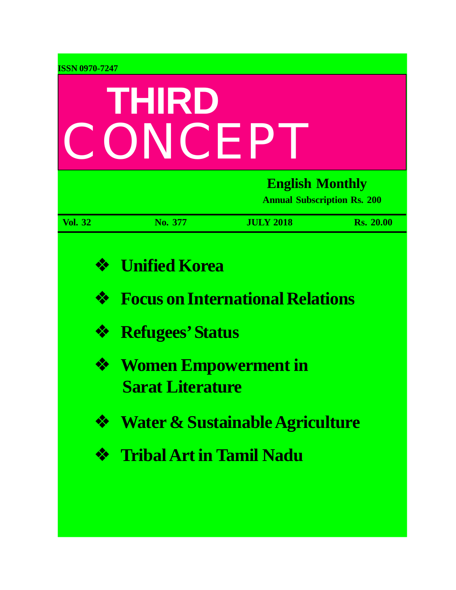| <b>ISSN 0970-7247</b> |                                                        |                                                              |                  |  |  |
|-----------------------|--------------------------------------------------------|--------------------------------------------------------------|------------------|--|--|
| THIRD                 |                                                        |                                                              |                  |  |  |
|                       | CONCEP                                                 |                                                              |                  |  |  |
|                       |                                                        | <b>English Monthly</b><br><b>Annual Subscription Rs. 200</b> |                  |  |  |
| <b>Vol. 32</b>        | No. 377                                                | <b>JULY 2018</b>                                             | <b>Rs. 20.00</b> |  |  |
| ❖                     | <b>Unified Korea</b>                                   |                                                              |                  |  |  |
| ❖                     |                                                        | <b>Focus on International Relations</b>                      |                  |  |  |
| ❖                     | <b>Refugees' Status</b>                                |                                                              |                  |  |  |
| ❖                     | <b>Women Empowerment in</b><br><b>Sarat Literature</b> |                                                              |                  |  |  |
| ❖                     |                                                        | <b>Water &amp; Sustainable Agriculture</b>                   |                  |  |  |
| ❖                     | <b>Tribal Art in Tamil Nadu</b>                        |                                                              |                  |  |  |
|                       |                                                        |                                                              |                  |  |  |
|                       |                                                        |                                                              |                  |  |  |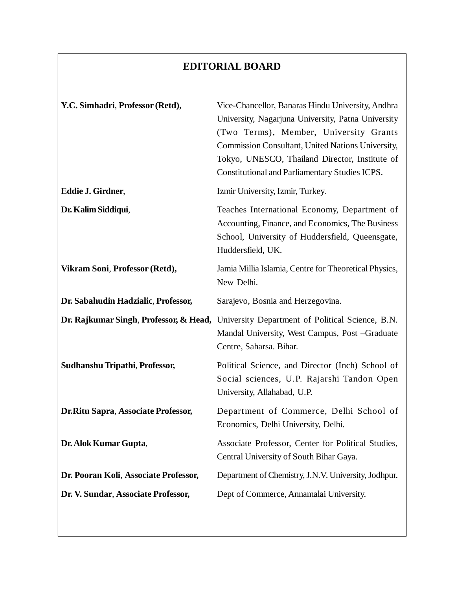# **EDITORIAL BOARD**

| Y.C. Simhadri, Professor (Retd),       | Vice-Chancellor, Banaras Hindu University, Andhra<br>University, Nagarjuna University, Patna University<br>(Two Terms), Member, University Grants<br>Commission Consultant, United Nations University,<br>Tokyo, UNESCO, Thailand Director, Institute of<br><b>Constitutional and Parliamentary Studies ICPS.</b> |
|----------------------------------------|-------------------------------------------------------------------------------------------------------------------------------------------------------------------------------------------------------------------------------------------------------------------------------------------------------------------|
| Eddie J. Girdner,                      | Izmir University, Izmir, Turkey.                                                                                                                                                                                                                                                                                  |
| Dr. Kalim Siddiqui,                    | Teaches International Economy, Department of<br>Accounting, Finance, and Economics, The Business<br>School, University of Huddersfield, Queensgate,<br>Huddersfield, UK.                                                                                                                                          |
| Vikram Soni, Professor (Retd),         | Jamia Millia Islamia, Centre for Theoretical Physics,<br>New Delhi.                                                                                                                                                                                                                                               |
| Dr. Sabahudin Hadzialic, Professor,    | Sarajevo, Bosnia and Herzegovina.                                                                                                                                                                                                                                                                                 |
| Dr. Rajkumar Singh, Professor, & Head, | University Department of Political Science, B.N.<br>Mandal University, West Campus, Post -Graduate<br>Centre, Saharsa. Bihar.                                                                                                                                                                                     |
| Sudhanshu Tripathi, Professor,         | Political Science, and Director (Inch) School of<br>Social sciences, U.P. Rajarshi Tandon Open<br>University, Allahabad, U.P.                                                                                                                                                                                     |
| Dr. Ritu Sapra, Associate Professor,   | Department of Commerce, Delhi School of<br>Economics, Delhi University, Delhi.                                                                                                                                                                                                                                    |
| Dr. Alok Kumar Gupta,                  | Associate Professor, Center for Political Studies,<br>Central University of South Bihar Gaya.                                                                                                                                                                                                                     |
| Dr. Pooran Koli, Associate Professor,  | Department of Chemistry, J.N.V. University, Jodhpur.                                                                                                                                                                                                                                                              |
| Dr. V. Sundar, Associate Professor,    | Dept of Commerce, Annamalai University.                                                                                                                                                                                                                                                                           |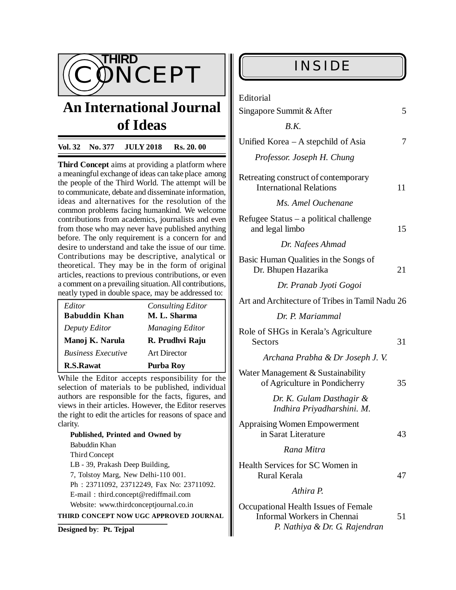

# **An International Journal of Ideas**

#### **Vol. 32 No. 377 JULY 2018 Rs. 20. 00**

**Third Concept** aims at providing a platform where a meaningful exchange of ideas can take place among the people of the Third World. The attempt will be to communicate, debate and disseminate information, ideas and alternatives for the resolution of the common problems facing humankind. We welcome contributions from academics, journalists and even from those who may never have published anything before. The only requirement is a concern for and desire to understand and take the issue of our time. Contributions may be descriptive, analytical or theoretical. They may be in the form of original articles, reactions to previous contributions, or even a comment on a prevailing situation. All contributions, neatly typed in double space, may be addressed to:

| Editor<br><b>Babuddin Khan</b> | <b>Consulting Editor</b><br>M. L. Sharma |
|--------------------------------|------------------------------------------|
| Deputy Editor                  | Managing Editor                          |
| Manoj K. Narula                | R. Prudhvi Raju                          |
| <b>Business Executive</b>      | Art Director                             |
| <b>R.S.Rawat</b>               | Purba Roy                                |

While the Editor accepts responsibility for the selection of materials to be published, individual authors are responsible for the facts, figures, and views in their articles. However, the Editor reserves the right to edit the articles for reasons of space and clarity.

**Published, Printed and Owned by** Babuddin Khan Third Concept LB - 39, Prakash Deep Building, 7, Tolstoy Marg, New Delhi-110 001. Ph : 23711092, 23712249, Fax No: 23711092. E-mail : [third.concept@rediffmail.com](mailto:third.concept@rediffmail.com) Website: [www.thirdconceptjournal.co.in](http://www.thirdconceptjournal.co.in) **THIRD CONCEPT NOW UGC APPROVED JOURNAL**

**Designed by**: **Pt. Tejpal**

| Editorial                                                                                                   |    |
|-------------------------------------------------------------------------------------------------------------|----|
| Singapore Summit & After                                                                                    | 5  |
| B.K.                                                                                                        |    |
| Unified Korea – A stepchild of Asia                                                                         | 7  |
| Professor. Joseph H. Chung                                                                                  |    |
| Retreating construct of contemporary<br><b>International Relations</b>                                      | 11 |
| Ms. Amel Ouchenane                                                                                          |    |
| Refugee Status $-$ a political challenge<br>and legal limbo                                                 | 15 |
| Dr. Nafees Ahmad                                                                                            |    |
| Basic Human Qualities in the Songs of<br>Dr. Bhupen Hazarika                                                | 21 |
| Dr. Pranab Jyoti Gogoi                                                                                      |    |
| Art and Architecture of Tribes in Tamil Nadu 26                                                             |    |
| Dr. P. Mariammal                                                                                            |    |
| Role of SHGs in Kerala's Agriculture<br>Sectors                                                             | 31 |
| Archana Prabha & Dr Joseph J. V.                                                                            |    |
| Water Management & Sustainability<br>of Agriculture in Pondicherry                                          | 35 |
| Dr. K. Gulam Dasthagir &<br>Indhira Priyadharshini. M.                                                      |    |
| <b>Appraising Women Empowerment</b><br>in Sarat Literature                                                  | 43 |
| Rana Mitra                                                                                                  |    |
| Health Services for SC Women in<br><b>Rural Kerala</b>                                                      | 47 |
| Athira P.                                                                                                   |    |
| Occupational Health Issues of Female<br><b>Informal Workers in Chennai</b><br>P. Nathiya & Dr. G. Rajendran | 51 |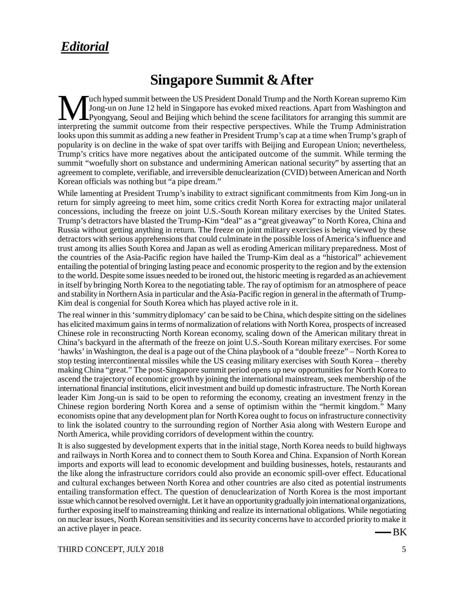# *Editorial*

# **Singapore Summit & After**

Wuch hyped summit between the US President Donald Trump and the North Korean supremo Kim<br>Jong-un on June 12 held in Singapore has evoked mixed reactions. Apart from Washington and<br>interpreting the summit outcome from their Luch hyped summit between the US President Donald Trump and the North Korean supremo Kim Jong-un on June 12 held in Singapore has evoked mixed reactions. Apart from Washington and Pyongyang, Seoul and Beijing which behind the scene facilitators for arranging this summit are looks upon this summit as adding a new feather in President Trump's cap at a time when Trump's graph of popularity is on decline in the wake of spat over tariffs with Beijing and European Union; nevertheless, Trump's critics have more negatives about the anticipated outcome of the summit. While terming the summit "woefully short on substance and undermining American national security" by asserting that an agreement to complete, verifiable, and irreversible denuclearization (CVID) between American and North Korean officials was nothing but "a pipe dream."

While lamenting at President Trump's inability to extract significant commitments from Kim Jong-un in return for simply agreeing to meet him, some critics credit North Korea for extracting major unilateral concessions, including the freeze on joint U.S.-South Korean military exercises by the United States. Trump's detractors have blasted the Trump-Kim "deal" as a "great giveaway" to North Korea, China and Russia without getting anything in return. The freeze on joint military exercises is being viewed by these detractors with serious apprehensions that could culminate in the possible loss of America's influence and trust among its allies South Korea and Japan as well as eroding American military preparedness. Most of the countries of the Asia-Pacific region have hailed the Trump-Kim deal as a "historical" achievement entailing the potential of bringing lasting peace and economic prosperity to the region and by the extension to the world. Despite some issues needed to be ironed out, the historic meeting is regarded as an achievement in itself by bringing North Korea to the negotiating table. The ray of optimism for an atmosphere of peace and stability in Northern Asia in particular and the Asia-Pacific region in general in the aftermath of Trump-Kim deal is congenial for South Korea which has played active role in it.

The real winner in this 'summitry diplomacy' can be said to be China, which despite sitting on the sidelines has elicited maximum gains in terms of normalization of relations with North Korea, prospects of increased Chinese role in reconstructing North Korean economy, scaling down of the American military threat in China's backyard in the aftermath of the freeze on joint U.S.-South Korean military exercises. For some 'hawks' in Washington, the deal is a page out of the China playbook of a "double freeze" – North Korea to stop testing intercontinental missiles while the US ceasing military exercises with South Korea – thereby making China "great." The post-Singapore summit period opens up new opportunities for North Korea to ascend the trajectory of economic growth by joining the international mainstream, seek membership of the international financial institutions, elicit investment and build up domestic infrastructure. The North Korean leader Kim Jong-un is said to be open to reforming the economy, creating an investment frenzy in the Chinese region bordering North Korea and a sense of optimism within the "hermit kingdom." Many economists opine that any development plan for North Korea ought to focus on infrastructure connectivity to link the isolated country to the surrounding region of Norther Asia along with Western Europe and North America, while providing corridors of development within the country.

It is also suggested by development experts that in the initial stage, North Korea needs to build highways and railways in North Korea and to connect them to South Korea and China. Expansion of North Korean imports and exports will lead to economic development and building businesses, hotels, restaurants and the like along the infrastructure corridors could also provide an economic spill-over effect. Educational and cultural exchanges between North Korea and other countries are also cited as potential instruments entailing transformation effect. The question of denuclearization of North Korea is the most important issue which cannot be resolved overnight. Let it have an opportunity gradually join international organizations, further exposing itself to mainstreaming thinking and realize its international obligations. While negotiating on nuclear issues, North Korean sensitivities and its security concerns have to accorded priority to make it an active player in peace.

-BK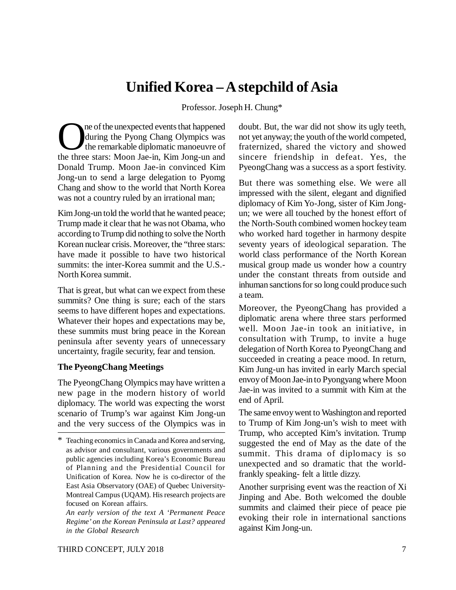# **Unified Korea – A stepchild of Asia**

Professor. Joseph H. Chung\*

The of the unexpected events that happened<br>during the Pyong Chang Olympics was<br>the temarkable diplomatic manoeuvre of<br>the three stars: Moon Jae-in, Kim Jong-un and ne of the unexpected events that happened during the Pyong Chang Olympics was the remarkable diplomatic manoeuvre of Donald Trump. Moon Jae-in convinced Kim Jong-un to send a large delegation to Pyomg Chang and show to the world that North Korea was not a country ruled by an irrational man;

Kim Jong-un told the world that he wanted peace; Trump made it clear that he was not Obama, who according to Trump did nothing to solve the North Korean nuclear crisis. Moreover, the "three stars: have made it possible to have two historical summits: the inter-Korea summit and the U.S.- North Korea summit.

That is great, but what can we expect from these summits? One thing is sure; each of the stars seems to have different hopes and expectations. Whatever their hopes and expectations may be, these summits must bring peace in the Korean peninsula after seventy years of unnecessary uncertainty, fragile security, fear and tension.

#### **The PyeongChang Meetings**

The PyeongChang Olympics may have written a new page in the modern history of world diplomacy. The world was expecting the worst scenario of Trump's war against Kim Jong-un and the very success of the Olympics was in doubt. But, the war did not show its ugly teeth, not yet anyway; the youth of the world competed, fraternized, shared the victory and showed sincere friendship in defeat. Yes, the PyeongChang was a success as a sport festivity.

But there was something else. We were all impressed with the silent, elegant and dignified diplomacy of Kim Yo-Jong, sister of Kim Jongun; we were all touched by the honest effort of the North-South combined women hockey team who worked hard together in harmony despite seventy years of ideological separation. The world class performance of the North Korean musical group made us wonder how a country under the constant threats from outside and inhuman sanctions for so long could produce such a team.

Moreover, the PyeongChang has provided a diplomatic arena where three stars performed well. Moon Jae-in took an initiative, in consultation with Trump, to invite a huge delegation of North Korea to PyeongChang and succeeded in creating a peace mood. In return, Kim Jung-un has invited in early March special envoy of Moon Jae-in to Pyongyang where Moon Jae-in was invited to a summit with Kim at the end of April.

The same envoy went to Washington and reported to Trump of Kim Jong-un's wish to meet with Trump, who accepted Kim's invitation. Trump suggested the end of May as the date of the summit. This drama of diplomacy is so unexpected and so dramatic that the worldfrankly speaking- felt a little dizzy.

Another surprising event was the reaction of Xi Jinping and Abe. Both welcomed the double summits and claimed their piece of peace pie evoking their role in international sanctions against Kim Jong-un.

Teaching economics in Canada and Korea and serving, as advisor and consultant, various governments and public agencies including Korea's Economic Bureau of Planning and the Presidential Council for Unification of Korea. Now he is co-director of the East Asia Observatory (OAE) of Quebec University-Montreal Campus (UQAM). His research projects are focused on Korean affairs.

*An early version of the text A 'Permanent Peace Regime' on the Korean Peninsula at Last? appeared in the Global Research*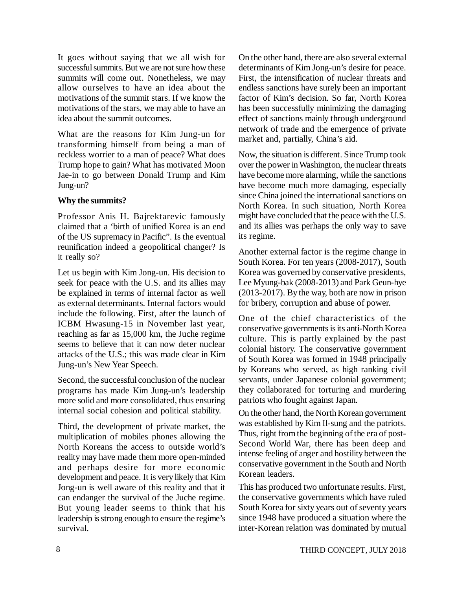It goes without saying that we all wish for successful summits. But we are not sure how these summits will come out. Nonetheless, we may allow ourselves to have an idea about the motivations of the summit stars. If we know the motivations of the stars, we may able to have an idea about the summit outcomes.

What are the reasons for Kim Jung-un for transforming himself from being a man of reckless worrier to a man of peace? What does Trump hope to gain? What has motivated Moon Jae-in to go between Donald Trump and Kim Jung-un?

### **Why the summits?**

Professor Anis H. Bajrektarevic famously claimed that a 'birth of unified Korea is an end of the US supremacy in Pacific". Is the eventual reunification indeed a geopolitical changer? Is it really so?

Let us begin with Kim Jong-un. His decision to seek for peace with the U.S. and its allies may be explained in terms of internal factor as well as external determinants. Internal factors would include the following. First, after the launch of ICBM Hwasung-15 in November last year, reaching as far as 15,000 km, the Juche regime seems to believe that it can now deter nuclear attacks of the U.S.; this was made clear in Kim Jung-un's New Year Speech.

Second, the successful conclusion of the nuclear programs has made Kim Jung-un's leadership more solid and more consolidated, thus ensuring internal social cohesion and political stability.

Third, the development of private market, the multiplication of mobiles phones allowing the North Koreans the access to outside world's reality may have made them more open-minded and perhaps desire for more economic development and peace. It is very likely that Kim Jong-un is well aware of this reality and that it can endanger the survival of the Juche regime. But young leader seems to think that his leadership is strong enough to ensure the regime's survival.

On the other hand, there are also several external determinants of Kim Jong-un's desire for peace. First, the intensification of nuclear threats and endless sanctions have surely been an important factor of Kim's decision. So far, North Korea has been successfully minimizing the damaging effect of sanctions mainly through underground network of trade and the emergence of private market and, partially, China's aid.

Now, the situation is different. Since Trump took over the power in Washington, the nuclear threats have become more alarming, while the sanctions have become much more damaging, especially since China joined the international sanctions on North Korea. In such situation, North Korea might have concluded that the peace with the U.S. and its allies was perhaps the only way to save its regime.

Another external factor is the regime change in South Korea. For ten years (2008-2017), South Korea was governed by conservative presidents, Lee Myung-bak (2008-2013) and Park Geun-hye (2013-2017). By the way, both are now in prison for bribery, corruption and abuse of power.

One of the chief characteristics of the conservative governments is its anti-North Korea culture. This is partly explained by the past colonial history. The conservative government of South Korea was formed in 1948 principally by Koreans who served, as high ranking civil servants, under Japanese colonial government; they collaborated for torturing and murdering patriots who fought against Japan.

On the other hand, the North Korean government was established by Kim Il-sung and the patriots. Thus, right from the beginning of the era of post-Second World War, there has been deep and intense feeling of anger and hostility between the conservative government in the South and North Korean leaders.

This has produced two unfortunate results. First, the conservative governments which have ruled South Korea for sixty years out of seventy years since 1948 have produced a situation where the inter-Korean relation was dominated by mutual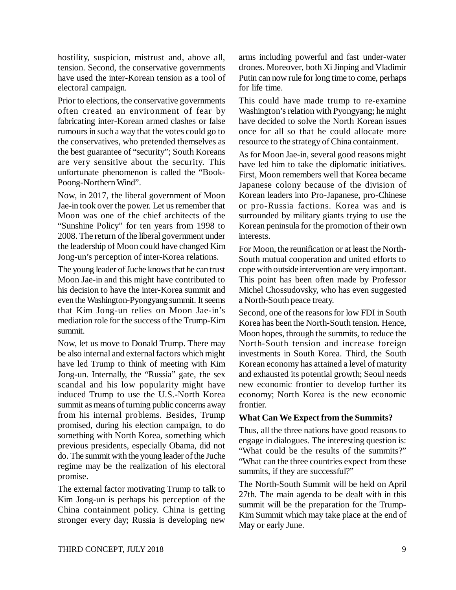hostility, suspicion, mistrust and, above all, tension. Second, the conservative governments have used the inter-Korean tension as a tool of electoral campaign.

Prior to elections, the conservative governments often created an environment of fear by fabricating inter-Korean armed clashes or false rumours in such a way that the votes could go to the conservatives, who pretended themselves as the best guarantee of "security"; South Koreans are very sensitive about the security. This unfortunate phenomenon is called the "Book-Poong-Northern Wind".

Now, in 2017, the liberal government of Moon Jae-in took over the power. Let us remember that Moon was one of the chief architects of the "Sunshine Policy" for ten years from 1998 to 2008. The return of the liberal government under the leadership of Moon could have changed Kim Jong-un's perception of inter-Korea relations.

The young leader of Juche knows that he can trust Moon Jae-in and this might have contributed to his decision to have the inter-Korea summit and even the Washington-Pyongyang summit. It seems that Kim Jong-un relies on Moon Jae-in's mediation role for the success of the Trump-Kim summit.

Now, let us move to Donald Trump. There may be also internal and external factors which might have led Trump to think of meeting with Kim Jong-un. Internally, the "Russia" gate, the sex scandal and his low popularity might have induced Trump to use the U.S.-North Korea summit as means of turning public concerns away from his internal problems. Besides, Trump promised, during his election campaign, to do something with North Korea, something which previous presidents, especially Obama, did not do. The summit with the young leader of the Juche regime may be the realization of his electoral promise.

The external factor motivating Trump to talk to Kim Jong-un is perhaps his perception of the China containment policy. China is getting stronger every day; Russia is developing new arms including powerful and fast under-water drones. Moreover, both Xi Jinping and Vladimir Putin can now rule for long time to come, perhaps for life time.

This could have made trump to re-examine Washington's relation with Pyongyang; he might have decided to solve the North Korean issues once for all so that he could allocate more resource to the strategy of China containment.

As for Moon Jae-in, several good reasons might have led him to take the diplomatic initiatives. First, Moon remembers well that Korea became Japanese colony because of the division of Korean leaders into Pro-Japanese, pro-Chinese or pro-Russia factions. Korea was and is surrounded by military giants trying to use the Korean peninsula for the promotion of their own interests.

For Moon, the reunification or at least the North-South mutual cooperation and united efforts to cope with outside intervention are very important. This point has been often made by Professor Michel Chossudovsky, who has even suggested a North-South peace treaty.

Second, one of the reasons for low FDI in South Korea has been the North-South tension. Hence, Moon hopes, through the summits, to reduce the North-South tension and increase foreign investments in South Korea. Third, the South Korean economy has attained a level of maturity and exhausted its potential growth; Seoul needs new economic frontier to develop further its economy; North Korea is the new economic frontier.

#### **What Can We Expect from the Summits?**

Thus, all the three nations have good reasons to engage in dialogues. The interesting question is: "What could be the results of the summits?" "What can the three countries expect from these summits, if they are successful?"

The North-South Summit will be held on April 27th. The main agenda to be dealt with in this summit will be the preparation for the Trump-Kim Summit which may take place at the end of May or early June.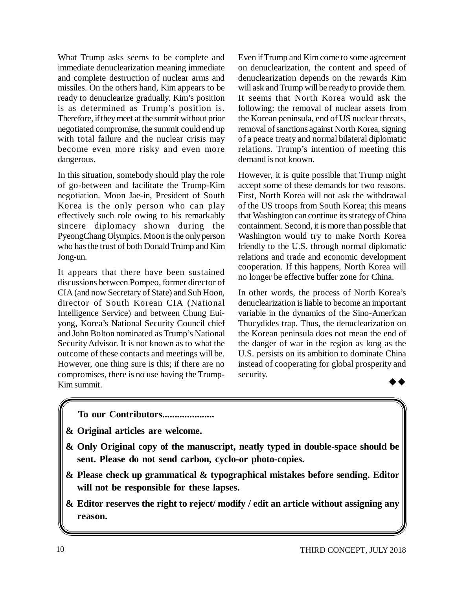What Trump asks seems to be complete and immediate denuclearization meaning immediate and complete destruction of nuclear arms and missiles. On the others hand, Kim appears to be ready to denuclearize gradually. Kim's position is as determined as Trump's position is. Therefore, if they meet at the summit without prior negotiated compromise, the summit could end up with total failure and the nuclear crisis may become even more risky and even more dangerous.

In this situation, somebody should play the role of go-between and facilitate the Trump-Kim negotiation. Moon Jae-in, President of South Korea is the only person who can play effectively such role owing to his remarkably sincere diplomacy shown during the PyeongChang Olympics. Moon is the only person who has the trust of both Donald Trump and Kim Jong-un.

It appears that there have been sustained discussions between Pompeo, former director of CIA (and now Secretary of State) and Suh Hoon, director of South Korean CIA (National Intelligence Service) and between Chung Euiyong, Korea's National Security Council chief and John Bolton nominated as Trump's National Security Advisor. It is not known as to what the outcome of these contacts and meetings will be. However, one thing sure is this; if there are no compromises, there is no use having the Trump-Kim summit.

Even if Trump and Kim come to some agreement on denuclearization, the content and speed of denuclearization depends on the rewards Kim will ask and Trump will be ready to provide them. It seems that North Korea would ask the following: the removal of nuclear assets from the Korean peninsula, end of US nuclear threats, removal of sanctions against North Korea, signing of a peace treaty and normal bilateral diplomatic relations. Trump's intention of meeting this demand is not known.

However, it is quite possible that Trump might accept some of these demands for two reasons. First, North Korea will not ask the withdrawal of the US troops from South Korea; this means that Washington can continue its strategy of China containment. Second, it is more than possible that Washington would try to make North Korea friendly to the U.S. through normal diplomatic relations and trade and economic development cooperation. If this happens, North Korea will no longer be effective buffer zone for China.

In other words, the process of North Korea's denuclearization is liable to become an important variable in the dynamics of the Sino-American Thucydides trap. Thus, the denuclearization on the Korean peninsula does not mean the end of the danger of war in the region as long as the U.S. persists on its ambition to dominate China instead of cooperating for global prosperity and security.  $\rightarrow \rightarrow$ 

- **To our Contributors.....................**
- **& Original articles are welcome.**
- **& Only Original copy of the manuscript, neatly typed in double-space should be sent. Please do not send carbon, cyclo-or photo-copies.**
- **& Please check up grammatical & typographical mistakes before sending. Editor will not be responsible for these lapses.**
- **& Editor reserves the right to reject/ modify / edit an article without assigning any reason.**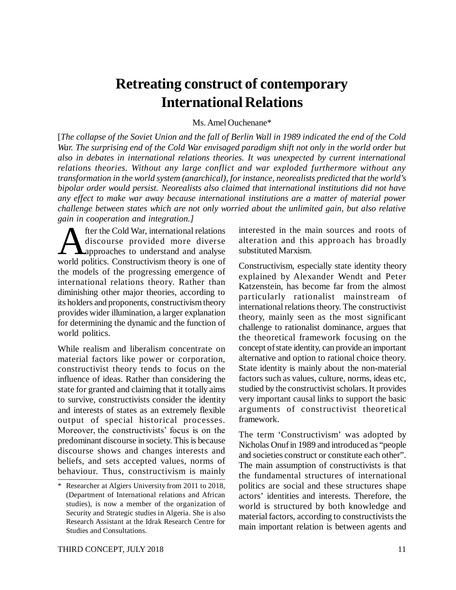# **Retreating construct of contemporary International Relations**

#### Ms. Amel Ouchenane\*

[*The collapse of the Soviet Union and the fall of Berlin Wall in 1989 indicated the end of the Cold War. The surprising end of the Cold War envisaged paradigm shift not only in the world order but also in debates in international relations theories. It was unexpected by current international relations theories. Without any large conflict and war exploded furthermore without any transformation in the world system (anarchical), for instance, neorealists predicted that the world's bipolar order would persist. Neorealists also claimed that international institutions did not have any effect to make war away because international institutions are a matter of material power challenge between states which are not only worried about the unlimited gain, but also relative gain in cooperation and integration.]*

**A** fter the Cold War, international relations<br>discourse provided more diverse<br>world politics. Constructivism theory is one of fter the Cold War, international relations discourse provided more diverse **A**approaches to understand and analyse the models of the progressing emergence of international relations theory. Rather than diminishing other major theories, according to its holders and proponents, constructivism theory provides wider illumination, a larger explanation for determining the dynamic and the function of world politics.

While realism and liberalism concentrate on material factors like power or corporation, constructivist theory tends to focus on the influence of ideas. Rather than considering the state for granted and claiming that it totally aims to survive, constructivists consider the identity and interests of states as an extremely flexible output of special historical processes. Moreover, the constructivists' focus is on the predominant discourse in society. This is because discourse shows and changes interests and beliefs, and sets accepted values, norms of behaviour. Thus, constructivism is mainly

interested in the main sources and roots of alteration and this approach has broadly substituted Marxism.

Constructivism, especially state identity theory explained by Alexander Wendt and Peter Katzenstein, has become far from the almost particularly rationalist mainstream of international relations theory. The constructivist theory, mainly seen as the most significant challenge to rationalist dominance, argues that the theoretical framework focusing on the concept of state identity, can provide an important alternative and option to rational choice theory. State identity is mainly about the non-material factors such as values, culture, norms, ideas etc, studied by the constructivist scholars. It provides very important causal links to support the basic arguments of constructivist theoretical framework.

The term 'Constructivism' was adopted by Nicholas Onuf in 1989 and introduced as "people and societies construct or constitute each other". The main assumption of constructivists is that the fundamental structures of international politics are social and these structures shape actors' identities and interests. Therefore, the world is structured by both knowledge and material factors, according to constructivists the main important relation is between agents and

Researcher at Algiers University from 2011 to 2018, (Department of International relations and African studies), is now a member of the organization of Security and Strategic studies in Algeria. She is also Research Assistant at the Idrak Research Centre for Studies and Consultations.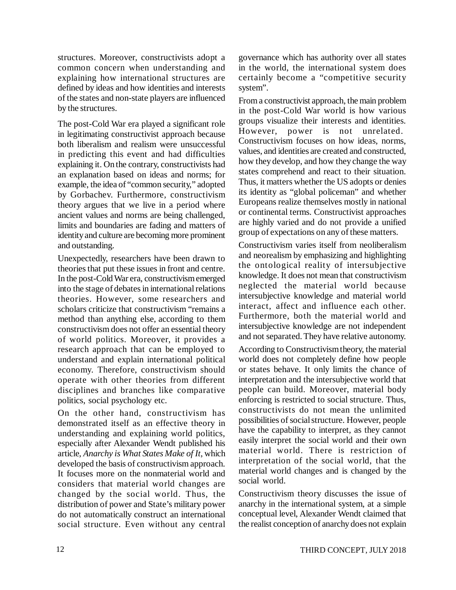structures. Moreover, constructivists adopt a common concern when understanding and explaining how international structures are defined by ideas and how identities and interests of the states and non-state players are influenced by the structures.

The post-Cold War era played a significant role in legitimating constructivist approach because both liberalism and realism were unsuccessful in predicting this event and had difficulties explaining it. On the contrary, constructivists had an explanation based on ideas and norms; for example, the idea of "common security," adopted by Gorbachev. Furthermore, constructivism theory argues that we live in a period where ancient values and norms are being challenged, limits and boundaries are fading and matters of identity and culture are becoming more prominent and outstanding.

Unexpectedly, researchers have been drawn to theories that put these issues in front and centre. In the post-Cold War era, constructivism emerged into the stage of debates in international relations theories. However, some researchers and scholars criticize that constructivism "remains a method than anything else, according to them constructivism does not offer an essential theory of world politics. Moreover, it provides a research approach that can be employed to understand and explain international political economy. Therefore, constructivism should operate with other theories from different disciplines and branches like comparative politics, social psychology etc.

On the other hand, constructivism has demonstrated itself as an effective theory in understanding and explaining world politics, especially after Alexander Wendt published his article, *Anarchy is What States Make of It*, which developed the basis of constructivism approach. It focuses more on the nonmaterial world and considers that material world changes are changed by the social world. Thus, the distribution of power and State's military power do not automatically construct an international social structure. Even without any central

governance which has authority over all states in the world, the international system does certainly become a "competitive security system".

From a constructivist approach, the main problem in the post-Cold War world is how various groups visualize their interests and identities. However, power is not unrelated. Constructivism focuses on how ideas, norms, values, and identities are created and constructed, how they develop, and how they change the way states comprehend and react to their situation. Thus, it matters whether the US adopts or denies its identity as "global policeman" and whether Europeans realize themselves mostly in national or continental terms. Constructivist approaches are highly varied and do not provide a unified group of expectations on any of these matters.

Constructivism varies itself from neoliberalism and neorealism by emphasizing and highlighting the ontological reality of intersubjective knowledge. It does not mean that constructivism neglected the material world because intersubjective knowledge and material world interact, affect and influence each other. Furthermore, both the material world and intersubjective knowledge are not independent and not separated. They have relative autonomy.

According to Constructivism theory, the material world does not completely define how people or states behave. It only limits the chance of interpretation and the intersubjective world that people can build. Moreover, material body enforcing is restricted to social structure. Thus, constructivists do not mean the unlimited possibilities of social structure. However, people have the capability to interpret, as they cannot easily interpret the social world and their own material world. There is restriction of interpretation of the social world, that the material world changes and is changed by the social world.

Constructivism theory discusses the issue of anarchy in the international system, at a simple conceptual level, Alexander Wendt claimed that the realist conception of anarchy does not explain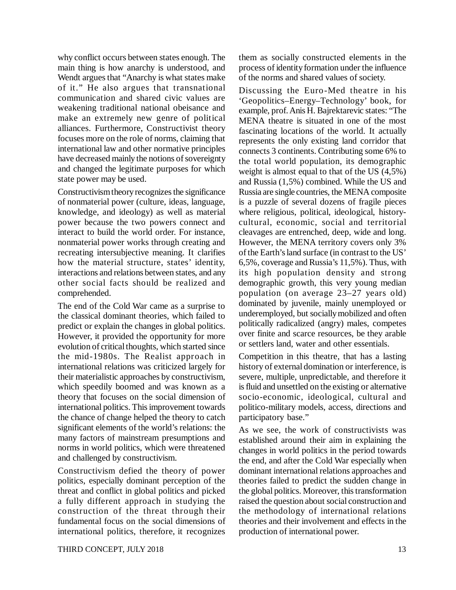why conflict occurs between states enough. The main thing is how anarchy is understood, and Wendt argues that "Anarchy is what states make of it." He also argues that transnational communication and shared civic values are weakening traditional national obeisance and make an extremely new genre of political alliances. Furthermore, Constructivist theory focuses more on the role of norms, claiming that international law and other normative principles have decreased mainly the notions of sovereignty and changed the legitimate purposes for which state power may be used.

Constructivism theory recognizes the significance of nonmaterial power (culture, ideas, language, knowledge, and ideology) as well as material power because the two powers connect and interact to build the world order. For instance, nonmaterial power works through creating and recreating intersubjective meaning. It clarifies how the material structure, states' identity, interactions and relations between states, and any other social facts should be realized and comprehended.

The end of the Cold War came as a surprise to the classical dominant theories, which failed to predict or explain the changes in global politics. However, it provided the opportunity for more evolution of critical thoughts, which started since the mid-1980s. The Realist approach in international relations was criticized largely for their materialistic approaches by constructivism, which speedily boomed and was known as a theory that focuses on the social dimension of international politics. This improvement towards the chance of change helped the theory to catch significant elements of the world's relations: the many factors of mainstream presumptions and norms in world politics, which were threatened and challenged by constructivism.

Constructivism defied the theory of power politics, especially dominant perception of the threat and conflict in global politics and picked a fully different approach in studying the construction of the threat through their fundamental focus on the social dimensions of international politics, therefore, it recognizes them as socially constructed elements in the process of identity formation under the influence of the norms and shared values of society.

Discussing the Euro-Med theatre in his 'Geopolitics–Energy–Technology' book, for example, prof. Anis H. Bajrektarevic states: "The MENA theatre is situated in one of the most fascinating locations of the world. It actually represents the only existing land corridor that connects 3 continents. Contributing some 6% to the total world population, its demographic weight is almost equal to that of the US (4,5%) and Russia (1,5%) combined. While the US and Russia are single countries, the MENA composite is a puzzle of several dozens of fragile pieces where religious, political, ideological, historycultural, economic, social and territorial cleavages are entrenched, deep, wide and long. However, the MENA territory covers only 3% of the Earth's land surface (in contrast to the US' 6,5%, coverage and Russia's 11,5%). Thus, with its high population density and strong demographic growth, this very young median population (on average 23–27 years old) dominated by juvenile, mainly unemployed or underemployed, but socially mobilized and often politically radicalized (angry) males, competes over finite and scarce resources, be they arable or settlers land, water and other essentials.

Competition in this theatre, that has a lasting history of external domination or interference, is severe, multiple, unpredictable, and therefore it is fluid and unsettled on the existing or alternative socio-economic, ideological, cultural and politico-military models, access, directions and participatory base."

As we see, the work of constructivists was established around their aim in explaining the changes in world politics in the period towards the end, and after the Cold War especially when dominant international relations approaches and theories failed to predict the sudden change in the global politics. Moreover, this transformation raised the question about social construction and the methodology of international relations theories and their involvement and effects in the production of international power.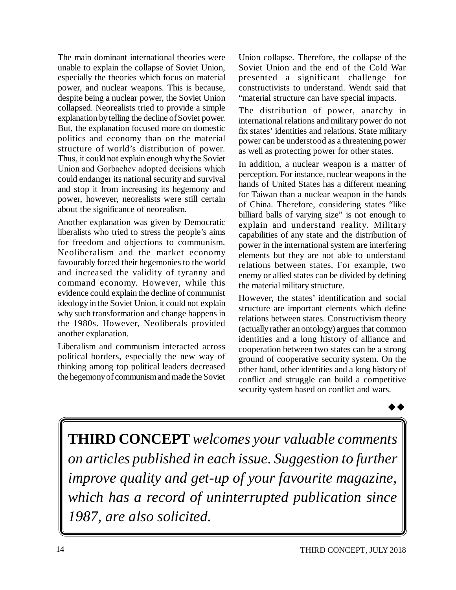The main dominant international theories were unable to explain the collapse of Soviet Union, especially the theories which focus on material power, and nuclear weapons. This is because, despite being a nuclear power, the Soviet Union collapsed. Neorealists tried to provide a simple explanation by telling the decline of Soviet power. But, the explanation focused more on domestic politics and economy than on the material structure of world's distribution of power. Thus, it could not explain enough why the Soviet Union and Gorbachev adopted decisions which could endanger its national security and survival and stop it from increasing its hegemony and power, however, neorealists were still certain about the significance of neorealism.

Another explanation was given by Democratic liberalists who tried to stress the people's aims for freedom and objections to communism. Neoliberalism and the market economy favourably forced their hegemonies to the world and increased the validity of tyranny and command economy. However, while this evidence could explain the decline of communist ideology in the Soviet Union, it could not explain why such transformation and change happens in the 1980s. However, Neoliberals provided another explanation.

Liberalism and communism interacted across political borders, especially the new way of thinking among top political leaders decreased the hegemony of communism and made the Soviet

Union collapse. Therefore, the collapse of the Soviet Union and the end of the Cold War presented a significant challenge for constructivists to understand. Wendt said that "material structure can have special impacts.

The distribution of power, anarchy in international relations and military power do not fix states' identities and relations. State military power can be understood as a threatening power as well as protecting power for other states.

In addition, a nuclear weapon is a matter of perception. For instance, nuclear weapons in the hands of United States has a different meaning for Taiwan than a nuclear weapon in the hands of China. Therefore, considering states "like billiard balls of varying size" is not enough to explain and understand reality. Military capabilities of any state and the distribution of power in the international system are interfering elements but they are not able to understand relations between states. For example, two enemy or allied states can be divided by defining the material military structure.

However, the states' identification and social structure are important elements which define relations between states. Constructivism theory (actually rather an ontology) argues that common identities and a long history of alliance and cooperation between two states can be a strong ground of cooperative security system. On the other hand, other identities and a long history of conflict and struggle can build a competitive security system based on conflict and wars.



**THIRD CONCEPT** *welcomes your valuable comments on articles published in each issue. Suggestion to further improve quality and get-up of your favourite magazine, which has a record of uninterrupted publication since 1987, are also solicited.*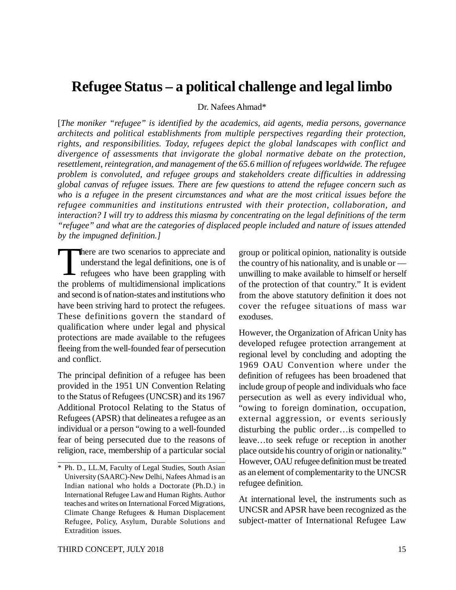# **Refugee Status – a political challenge and legal limbo**

Dr. Nafees Ahmad\*

[*The moniker "refugee" is identified by the academics, aid agents, media persons, governance architects and political establishments from multiple perspectives regarding their protection, rights, and responsibilities. Today, refugees depict the global landscapes with conflict and divergence of assessments that invigorate the global normative debate on the protection, resettlement, reintegration, and management of the 65.6 million of refugees worldwide. The refugee problem is convoluted, and refugee groups and stakeholders create difficulties in addressing global canvas of refugee issues. There are few questions to attend the refugee concern such as who is a refugee in the present circumstances and what are the most critical issues before the refugee communities and institutions entrusted with their protection, collaboration, and interaction? I will try to address this miasma by concentrating on the legal definitions of the term "refugee" and what are the categories of displaced people included and nature of issues attended by the impugned definition.]*

 $\begin{bmatrix} 1 \\ 1 \\ 1 \end{bmatrix}$ here are two scenarios to appreciate and understand the legal definitions, one is of refugees who have been grappling with the problems of multidimensional implications and second is of nation-states and institutions who have been striving hard to protect the refugees. These definitions govern the standard of qualification where under legal and physical protections are made available to the refugees fleeing from the well-founded fear of persecution and conflict.

The principal definition of a refugee has been provided in the 1951 UN Convention Relating to the Status of Refugees (UNCSR) and its 1967 Additional Protocol Relating to the Status of Refugees (APSR) that delineates a refugee as an individual or a person "owing to a well-founded fear of being persecuted due to the reasons of religion, race, membership of a particular social group or political opinion, nationality is outside the country of his nationality, and is unable or unwilling to make available to himself or herself of the protection of that country." It is evident from the above statutory definition it does not cover the refugee situations of mass war exoduses.

However, the Organization of African Unity has developed refugee protection arrangement at regional level by concluding and adopting the 1969 OAU Convention where under the definition of refugees has been broadened that include group of people and individuals who face persecution as well as every individual who, "owing to foreign domination, occupation, external aggression, or events seriously disturbing the public order…is compelled to leave…to seek refuge or reception in another place outside his country of origin or nationality." However, OAU refugee definition must be treated as an element of complementarity to the UNCSR refugee definition.

At international level, the instruments such as UNCSR and APSR have been recognized as the subject-matter of International Refugee Law

<sup>\*</sup> Ph. D., LL.M, Faculty of Legal Studies, South Asian University (SAARC)-New Delhi, Nafees Ahmad is an Indian national who holds a Doctorate (Ph.D.) in International Refugee Law and Human Rights. Author teaches and writes on International Forced Migrations, Climate Change Refugees & Human Displacement Refugee, Policy, Asylum, Durable Solutions and Extradition issues.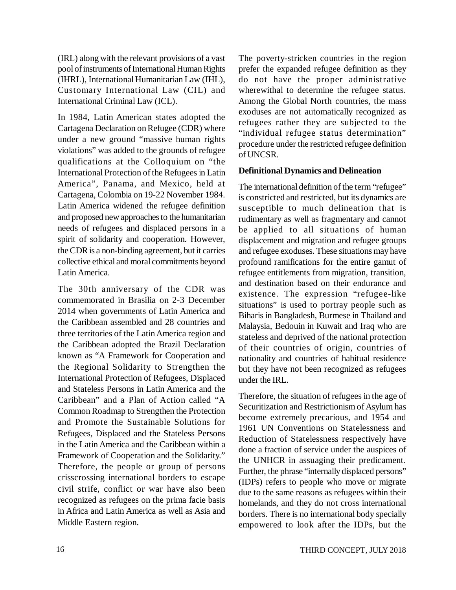(IRL) along with the relevant provisions of a vast pool of instruments of International Human Rights (IHRL), International Humanitarian Law (IHL), Customary International Law (CIL) and International Criminal Law (ICL).

In 1984, Latin American states adopted the Cartagena Declaration on Refugee (CDR) where under a new ground "massive human rights violations" was added to the grounds of refugee qualifications at the Colloquium on "the International Protection of the Refugees in Latin America", Panama, and Mexico, held at Cartagena, Colombia on 19-22 November 1984. Latin America widened the refugee definition and proposed new approaches to the humanitarian needs of refugees and displaced persons in a spirit of solidarity and cooperation. However, the CDR is a non-binding agreement, but it carries collective ethical and moral commitments beyond Latin America.

The 30th anniversary of the CDR was commemorated in Brasilia on 2-3 December 2014 when governments of Latin America and the Caribbean assembled and 28 countries and three territories of the Latin America region and the Caribbean adopted the Brazil Declaration known as "A Framework for Cooperation and the Regional Solidarity to Strengthen the International Protection of Refugees, Displaced and Stateless Persons in Latin America and the Caribbean" and a Plan of Action called "A Common Roadmap to Strengthen the Protection and Promote the Sustainable Solutions for Refugees, Displaced and the Stateless Persons in the Latin America and the Caribbean within a Framework of Cooperation and the Solidarity." Therefore, the people or group of persons crisscrossing international borders to escape civil strife, conflict or war have also been recognized as refugees on the prima facie basis in Africa and Latin America as well as Asia and Middle Eastern region.

The poverty-stricken countries in the region prefer the expanded refugee definition as they do not have the proper administrative wherewithal to determine the refugee status. Among the Global North countries, the mass exoduses are not automatically recognized as refugees rather they are subjected to the "individual refugee status determination" procedure under the restricted refugee definition of UNCSR.

### **Definitional Dynamics and Delineation**

The international definition of the term "refugee" is constricted and restricted, but its dynamics are susceptible to much delineation that is rudimentary as well as fragmentary and cannot be applied to all situations of human displacement and migration and refugee groups and refugee exoduses. These situations may have profound ramifications for the entire gamut of refugee entitlements from migration, transition, and destination based on their endurance and existence. The expression "refugee-like situations" is used to portray people such as Biharis in Bangladesh, Burmese in Thailand and Malaysia, Bedouin in Kuwait and Iraq who are stateless and deprived of the national protection of their countries of origin, countries of nationality and countries of habitual residence but they have not been recognized as refugees under the IRL.

Therefore, the situation of refugees in the age of Securitization and Restrictionism of Asylum has become extremely precarious, and 1954 and 1961 UN Conventions on Statelessness and Reduction of Statelessness respectively have done a fraction of service under the auspices of the UNHCR in assuaging their predicament. Further, the phrase "internally displaced persons" (IDPs) refers to people who move or migrate due to the same reasons as refugees within their homelands, and they do not cross international borders. There is no international body specially empowered to look after the IDPs, but the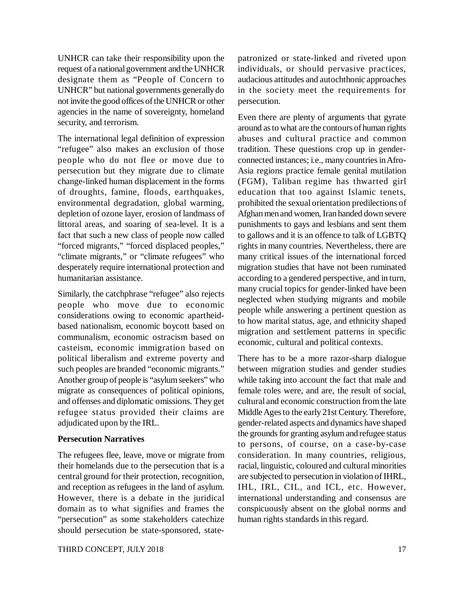UNHCR can take their responsibility upon the request of a national government and the UNHCR designate them as "People of Concern to UNHCR" but national governments generally do not invite the good offices of the UNHCR or other agencies in the name of sovereignty, homeland security, and terrorism.

The international legal definition of expression "refugee" also makes an exclusion of those people who do not flee or move due to persecution but they migrate due to climate change-linked human displacement in the forms of droughts, famine, floods, earthquakes, environmental degradation, global warming, depletion of ozone layer, erosion of landmass of littoral areas, and soaring of sea-level. It is a fact that such a new class of people now called "forced migrants," "forced displaced peoples," "climate migrants," or "climate refugees" who desperately require international protection and humanitarian assistance.

Similarly, the catchphrase "refugee" also rejects people who move due to economic considerations owing to economic apartheidbased nationalism, economic boycott based on communalism, economic ostracism based on casteism, economic immigration based on political liberalism and extreme poverty and such peoples are branded "economic migrants." Another group of people is "asylum seekers" who migrate as consequences of political opinions, and offenses and diplomatic omissions. They get refugee status provided their claims are adjudicated upon by the IRL.

#### **Persecution Narratives**

The refugees flee, leave, move or migrate from their homelands due to the persecution that is a central ground for their protection, recognition, and reception as refugees in the land of asylum. However, there is a debate in the juridical domain as to what signifies and frames the "persecution" as some stakeholders catechize should persecution be state-sponsored, statepatronized or state-linked and riveted upon individuals, or should pervasive practices, audacious attitudes and autochthonic approaches in the society meet the requirements for persecution.

Even there are plenty of arguments that gyrate around as to what are the contours of human rights abuses and cultural practice and common tradition. These questions crop up in genderconnected instances; i.e., many countries in Afro-Asia regions practice female genital mutilation (FGM), Taliban regime has thwarted girl education that too against Islamic tenets, prohibited the sexual orientation predilections of Afghan men and women, Iran handed down severe punishments to gays and lesbians and sent them to gallows and it is an offence to talk of LGBTQ rights in many countries. Nevertheless, there are many critical issues of the international forced migration studies that have not been ruminated according to a gendered perspective, and in turn, many crucial topics for gender-linked have been neglected when studying migrants and mobile people while answering a pertinent question as to how marital status, age, and ethnicity shaped migration and settlement patterns in specific economic, cultural and political contexts.

There has to be a more razor-sharp dialogue between migration studies and gender studies while taking into account the fact that male and female roles were, and are, the result of social, cultural and economic construction from the late Middle Ages to the early 21st Century. Therefore, gender-related aspects and dynamics have shaped the grounds for granting asylum and refugee status to persons, of course, on a case-by-case consideration. In many countries, religious, racial, linguistic, coloured and cultural minorities are subjected to persecution in violation of IHRL, IHL, IRL, CIL, and ICL, etc. However, international understanding and consensus are conspicuously absent on the global norms and human rights standards in this regard.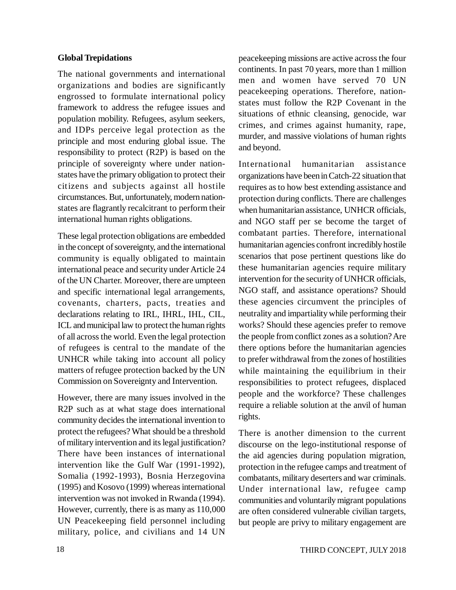#### **Global Trepidations**

The national governments and international organizations and bodies are significantly engrossed to formulate international policy framework to address the refugee issues and population mobility. Refugees, asylum seekers, and IDPs perceive legal protection as the principle and most enduring global issue. The responsibility to protect (R2P) is based on the principle of sovereignty where under nationstates have the primary obligation to protect their citizens and subjects against all hostile circumstances. But, unfortunately, modern nationstates are flagrantly recalcitrant to perform their international human rights obligations.

These legal protection obligations are embedded in the concept of sovereignty, and the international community is equally obligated to maintain international peace and security under Article 24 of the UN Charter. Moreover, there are umpteen and specific international legal arrangements, covenants, charters, pacts, treaties and declarations relating to IRL, IHRL, IHL, CIL, ICL and municipal law to protect the human rights of all across the world. Even the legal protection of refugees is central to the mandate of the UNHCR while taking into account all policy matters of refugee protection backed by the UN Commission on Sovereignty and Intervention.

However, there are many issues involved in the R2P such as at what stage does international community decides the international invention to protect the refugees? What should be a threshold of military intervention and its legal justification? There have been instances of international intervention like the Gulf War (1991-1992), Somalia (1992-1993), Bosnia Herzegovina (1995) and Kosovo (1999) whereas international intervention was not invoked in Rwanda (1994). However, currently, there is as many as 110,000 UN Peacekeeping field personnel including military, police, and civilians and 14 UN peacekeeping missions are active across the four continents. In past 70 years, more than 1 million men and women have served 70 UN peacekeeping operations. Therefore, nationstates must follow the R2P Covenant in the situations of ethnic cleansing, genocide, war crimes, and crimes against humanity, rape, murder, and massive violations of human rights and beyond.

International humanitarian assistance organizations have been in Catch-22 situation that requires as to how best extending assistance and protection during conflicts. There are challenges when humanitarian assistance, UNHCR officials, and NGO staff per se become the target of combatant parties. Therefore, international humanitarian agencies confront incredibly hostile scenarios that pose pertinent questions like do these humanitarian agencies require military intervention for the security of UNHCR officials, NGO staff, and assistance operations? Should these agencies circumvent the principles of neutrality and impartiality while performing their works? Should these agencies prefer to remove the people from conflict zones as a solution? Are there options before the humanitarian agencies to prefer withdrawal from the zones of hostilities while maintaining the equilibrium in their responsibilities to protect refugees, displaced people and the workforce? These challenges require a reliable solution at the anvil of human rights.

There is another dimension to the current discourse on the lego-institutional response of the aid agencies during population migration, protection in the refugee camps and treatment of combatants, military deserters and war criminals. Under international law, refugee camp communities and voluntarily migrant populations are often considered vulnerable civilian targets, but people are privy to military engagement are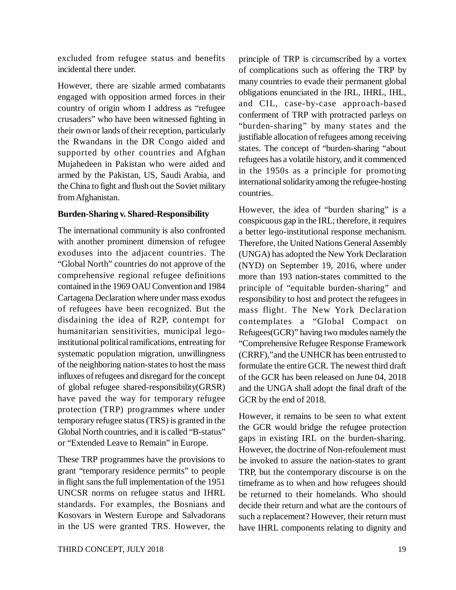excluded from refugee status and benefits incidental there under.

However, there are sizable armed combatants engaged with opposition armed forces in their country of origin whom I address as "refugee crusaders" who have been witnessed fighting in their own or lands of their reception, particularly the Rwandans in the DR Congo aided and supported by other countries and Afghan Mujahedeen in Pakistan who were aided and armed by the Pakistan, US, Saudi Arabia, and the China to fight and flush out the Soviet military from Afghanistan.

### **Burden-Sharing v. Shared-Responsibility**

The international community is also confronted with another prominent dimension of refugee exoduses into the adjacent countries. The "Global North" countries do not approve of the comprehensive regional refugee definitions contained in the 1969 OAU Convention and 1984 Cartagena Declaration where under mass exodus of refugees have been recognized. But the disdaining the idea of R2P, contempt for humanitarian sensitivities, municipal legoinstitutional political ramifications, entreating for systematic population migration, unwillingness of the neighboring nation-states to host the mass influxes of refugees and disregard for the concept of global refugee shared-responsibility(GRSR) have paved the way for temporary refugee protection (TRP) programmes where under temporary refugee status (TRS) is granted in the Global North countries, and it is called "B-status" or "Extended Leave to Remain" in Europe.

These TRP programmes have the provisions to grant "temporary residence permits" to people in flight sans the full implementation of the 1951 UNCSR norms on refugee status and IHRL standards. For examples, the Bosnians and Kosovars in Western Europe and Salvadorans in the US were granted TRS. However, the

principle of TRP is circumscribed by a vortex of complications such as offering the TRP by many countries to evade their permanent global obligations enunciated in the IRL, IHRL, IHL, and CIL, case-by-case approach-based conferment of TRP with protracted parleys on "burden-sharing" by many states and the justifiable allocation of refugees among receiving states. The concept of "burden-sharing "about refugees has a volatile history, and it commenced in the 1950s as a principle for promoting international solidarity among the refugee-hosting countries.

However, the idea of "burden sharing" is a conspicuous gap in the IRL; therefore, it requires a better lego-institutional response mechanism. Therefore, the United Nations General Assembly (UNGA) has adopted the New York Declaration (NYD) on September 19, 2016, where under more than 193 nation-states committed to the principle of "equitable burden-sharing" and responsibility to host and protect the refugees in mass flight. The New York Declaration contemplates a "Global Compact on Refugees(GCR)" having two modules namely the "Comprehensive Refugee Response Framework (CRRF),"and the UNHCR has been entrusted to formulate the entire GCR. The newest third draft of the GCR has been released on June 04, 2018 and the UNGA shall adopt the final draft of the GCR by the end of 2018.

However, it remains to be seen to what extent the GCR would bridge the refugee protection gaps in existing IRL on the burden-sharing. However, the doctrine of Non-refoulement must be invoked to assure the nation-states to grant TRP, but the contemporary discourse is on the timeframe as to when and how refugees should be returned to their homelands. Who should decide their return and what are the contours of such a replacement? However, their return must have IHRL components relating to dignity and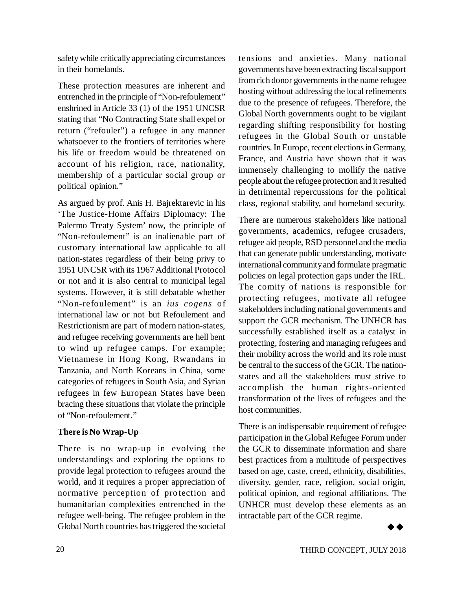safety while critically appreciating circumstances in their homelands.

These protection measures are inherent and entrenched in the principle of "Non-refoulement" enshrined in Article 33 (1) of the 1951 UNCSR stating that "No Contracting State shall expel or return ("refouler") a refugee in any manner whatsoever to the frontiers of territories where his life or freedom would be threatened on account of his religion, race, nationality, membership of a particular social group or political opinion."

As argued by prof. Anis H. Bajrektarevic in his 'The Justice-Home Affairs Diplomacy: The Palermo Treaty System' now, the principle of "Non-refoulement" is an inalienable part of customary international law applicable to all nation-states regardless of their being privy to 1951 UNCSR with its 1967 Additional Protocol or not and it is also central to municipal legal systems. However, it is still debatable whether "Non-refoulement" is an *ius cogens* of international law or not but Refoulement and Restrictionism are part of modern nation-states, and refugee receiving governments are hell bent to wind up refugee camps. For example; Vietnamese in Hong Kong, Rwandans in Tanzania, and North Koreans in China, some categories of refugees in South Asia, and Syrian refugees in few European States have been bracing these situations that violate the principle of "Non-refoulement."

# **There is No Wrap-Up**

There is no wrap-up in evolving the understandings and exploring the options to provide legal protection to refugees around the world, and it requires a proper appreciation of normative perception of protection and humanitarian complexities entrenched in the refugee well-being. The refugee problem in the Global North countries has triggered the societal

tensions and anxieties. Many national governments have been extracting fiscal support from rich donor governments in the name refugee hosting without addressing the local refinements due to the presence of refugees. Therefore, the Global North governments ought to be vigilant regarding shifting responsibility for hosting refugees in the Global South or unstable countries. In Europe, recent elections in Germany, France, and Austria have shown that it was immensely challenging to mollify the native people about the refugee protection and it resulted in detrimental repercussions for the political class, regional stability, and homeland security.

There are numerous stakeholders like national governments, academics, refugee crusaders, refugee aid people, RSD personnel and the media that can generate public understanding, motivate international community and formulate pragmatic policies on legal protection gaps under the IRL. The comity of nations is responsible for protecting refugees, motivate all refugee stakeholders including national governments and support the GCR mechanism. The UNHCR has successfully established itself as a catalyst in protecting, fostering and managing refugees and their mobility across the world and its role must be central to the success of the GCR. The nationstates and all the stakeholders must strive to accomplish the human rights-oriented transformation of the lives of refugees and the host communities.

There is an indispensable requirement of refugee participation in the Global Refugee Forum under the GCR to disseminate information and share best practices from a multitude of perspectives based on age, caste, creed, ethnicity, disabilities, diversity, gender, race, religion, social origin, political opinion, and regional affiliations. The UNHCR must develop these elements as an intractable part of the GCR regime.

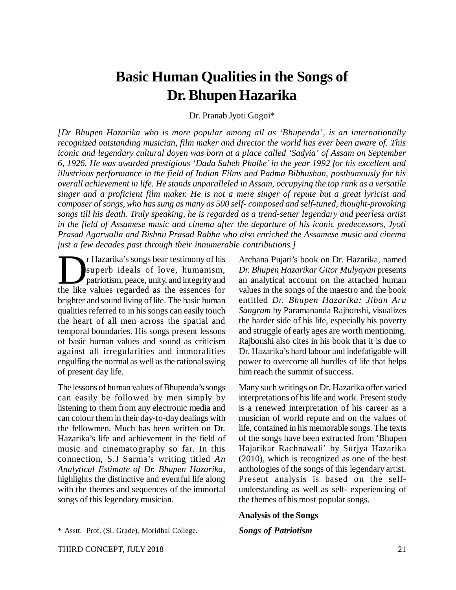# **Basic Human Qualities in the Songs of Dr. Bhupen Hazarika**

Dr. Pranab Jyoti Gogoi\*

*[Dr Bhupen Hazarika who is more popular among all as 'Bhupenda', is an internationally recognized outstanding musician, film maker and director the world has ever been aware of. This iconic and legendary cultural doyen was born at a place called 'Sadyia' of Assam on September 6, 1926. He was awarded prestigious 'Dada Saheb Phalke' in the year 1992 for his excellent and illustrious performance in the field of Indian Films and Padma Bibhushan, posthumously for his overall achievement in life. He stands unparalleled in Assam, occupying the top rank as a versatile singer and a proficient film maker. He is not a mere singer of repute but a great lyricist and composer of songs, who has sung as many as 500 self- composed and self-tuned, thought-provoking songs till his death. Truly speaking, he is regarded as a trend-setter legendary and peerless artist in the field of Assamese music and cinema after the departure of his iconic predecessors, Jyoti Prasad Agarwalla and Bishnu Prasad Rabha who also enriched the Assamese music and cinema just a few decades past through their innumerable contributions.]*

The Hazarika's songs bear testimony of his superb ideals of love, humanism, patriotism, peace, unity, and integrity and the like values regarded as the essences for r Hazarika's songs bear testimony of his superb ideals of love, humanism, patriotism, peace, unity, and integrity and brighter and sound living of life. The basic human qualities referred to in his songs can easily touch the heart of all men across the spatial and temporal boundaries. His songs present lessons of basic human values and sound as criticism against all irregularities and immoralities engulfing the normal as well as the rational swing of present day life.

The lessons of human values of Bhupenda's songs can easily be followed by men simply by listening to them from any electronic media and can colour them in their day-to-day dealings with the fellowmen. Much has been written on Dr. Hazarika's life and achievement in the field of music and cinematography so far. In this connection, S.J Sarma's writing titled *An Analytical Estimate of Dr. Bhupen Hazarika*, highlights the distinctive and eventful life along with the themes and sequences of the immortal songs of this legendary musician.

Archana Pujari's book on Dr. Hazarika, named *Dr. Bhupen Hazarikar Gitor Mulyayan* presents an analytical account on the attached human values in the songs of the maestro and the book entitled *Dr. Bhupen Hazarika: Jiban Aru Sangram* by Paramananda Rajbonshi, visualizes the harder side of his life, especially his poverty and struggle of early ages are worth mentioning. Rajbonshi also cites in his book that it is due to Dr. Hazarika's hard labour and indefatigable will power to overcome all hurdles of life that helps him reach the summit of success.

Many such writings on Dr. Hazarika offer varied interpretations of his life and work. Present study is a renewed interpretation of his career as a musician of world repute and on the values of life, contained in his memorable songs. The texts of the songs have been extracted from 'Bhupen Hajarikar Rachnawali' by Surjya Hazarika (2010), which is recognized as one of the best anthologies of the songs of this legendary artist. Present analysis is based on the selfunderstanding as well as self- experiencing of the themes of his most popular songs.

#### **Analysis of the Songs**

#### *Songs of Patriotism*

<sup>\*</sup> Asstt. Prof. (Sl. Grade), Moridhal College.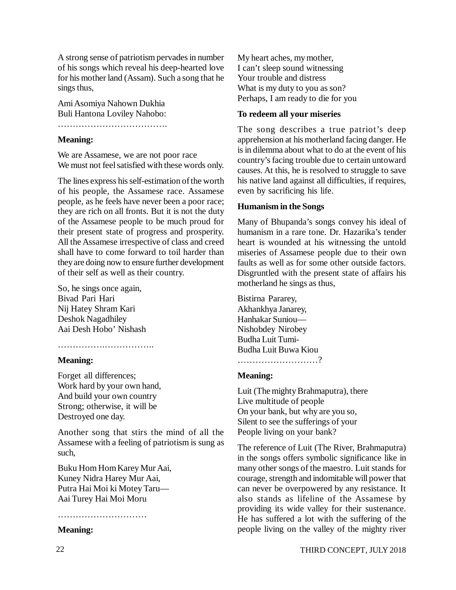A strong sense of patriotism pervades in number of his songs which reveal his deep-hearted love for his mother land (Assam). Such a song that he sings thus,

Ami Asomiya Nahown Dukhia Buli Hantona Loviley Nahobo:

……………………………….

#### **Meaning:**

We are Assamese, we are not poor race We must not feel satisfied with these words only.

The lines express his self-estimation of the worth of his people, the Assamese race. Assamese people, as he feels have never been a poor race; they are rich on all fronts. But it is not the duty of the Assamese people to be much proud for their present state of progress and prosperity. All the Assamese irrespective of class and creed shall have to come forward to toil harder than they are doing now to ensure further development of their self as well as their country.

So, he sings once again, Bivad Pari Hari Nij Hatey Shram Kari Deshok Nagadhiley Aai Desh Hobo' Nishash

#### ……………………………………

#### **Meaning:**

Forget all differences; Work hard by your own hand, And build your own country Strong; otherwise, it will be Destroyed one day.

Another song that stirs the mind of all the Assamese with a feeling of patriotism is sung as such,

Buku Hom Hom Karey Mur Aai, Kuney Nidra Harey Mur Aai, Putra Hai Moi ki Motey Taru— Aai Turey Hai Moi Moru

#### ………………………………

#### **Meaning:**

My heart aches, my mother, I can't sleep sound witnessing Your trouble and distress What is my duty to you as son? Perhaps, I am ready to die for you

#### **To redeem all your miseries**

The song describes a true patriot's deep apprehension at his motherland facing danger. He is in dilemma about what to do at the event of his country's facing trouble due to certain untoward causes. At this, he is resolved to struggle to save his native land against all difficulties, if requires, even by sacrificing his life.

#### **Humanism in the Songs**

Many of Bhupanda's songs convey his ideal of humanism in a rare tone. Dr. Hazarika's tender heart is wounded at his witnessing the untold miseries of Assamese people due to their own faults as well as for some other outside factors. Disgruntled with the present state of affairs his motherland he sings as thus,

Bistirna Pararey, Akhankhya Janarey, Hanhakar Suniou— Nishobdey Nirobey Budha Luit Tumi-Budha Luit Buwa Kiou ………………………?

#### **Meaning:**

Luit (The mighty Brahmaputra), there Live multitude of people On your bank, but why are you so, Silent to see the sufferings of your People living on your bank?

The reference of Luit (The River, Brahmaputra) in the songs offers symbolic significance like in many other songs of the maestro. Luit stands for courage, strength and indomitable will power that can never be overpowered by any resistance. It also stands as lifeline of the Assamese by providing its wide valley for their sustenance. He has suffered a lot with the suffering of the people living on the valley of the mighty river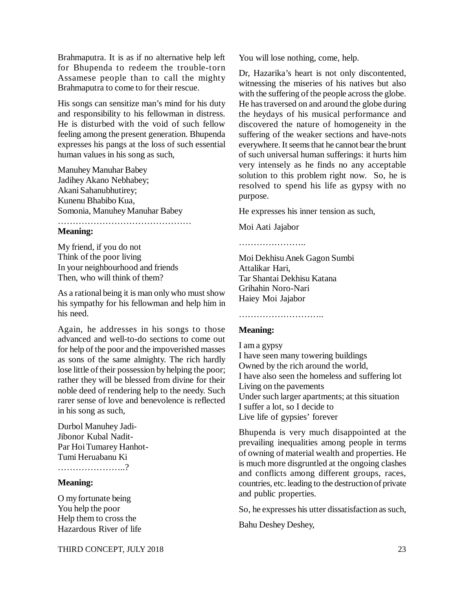Brahmaputra. It is as if no alternative help left for Bhupenda to redeem the trouble-torn Assamese people than to call the mighty Brahmaputra to come to for their rescue.

His songs can sensitize man's mind for his duty and responsibility to his fellowman in distress. He is disturbed with the void of such fellow feeling among the present generation. Bhupenda expresses his pangs at the loss of such essential human values in his song as such,

Manuhey Manuhar Babey Jadihey Akano Nebhabey; Akani Sahanubhutirey; Kunenu Bhabibo Kua, Somonia, Manuhey Manuhar Babey ………………………………………

#### **Meaning:**

My friend, if you do not Think of the poor living In your neighbourhood and friends Then, who will think of them?

As a rational being it is man only who must show his sympathy for his fellowman and help him in his need.

Again, he addresses in his songs to those advanced and well-to-do sections to come out for help of the poor and the impoverished masses as sons of the same almighty. The rich hardly lose little of their possession by helping the poor; rather they will be blessed from divine for their noble deed of rendering help to the needy. Such rarer sense of love and benevolence is reflected in his song as such,

Durbol Manuhey Jadi-Jibonor Kubal Nadit-Par Hoi Tumarey Hanhot-Tumi Heruabanu Ki ………………………?

#### **Meaning:**

O my fortunate being You help the poor Help them to cross the Hazardous River of life You will lose nothing, come, help.

Dr, Hazarika's heart is not only discontented, witnessing the miseries of his natives but also with the suffering of the people across the globe. He has traversed on and around the globe during the heydays of his musical performance and discovered the nature of homogeneity in the suffering of the weaker sections and have-nots everywhere. It seems that he cannot bear the brunt of such universal human sufferings: it hurts him very intensely as he finds no any acceptable solution to this problem right now. So, he is resolved to spend his life as gypsy with no purpose.

He expresses his inner tension as such,

Moi Aati Jajabor

……………………

Moi Dekhisu Anek Gagon Sumbi Attalikar Hari, Tar Shantai Dekhisu Katana Grihahin Noro-Nari Haiey Moi Jajabor

# ……………………………

#### **Meaning:**

I am a gypsy I have seen many towering buildings Owned by the rich around the world, I have also seen the homeless and suffering lot Living on the pavements Under such larger apartments; at this situation I suffer a lot, so I decide to Live life of gypsies' forever

Bhupenda is very much disappointed at the prevailing inequalities among people in terms of owning of material wealth and properties. He is much more disgruntled at the ongoing clashes and conflicts among different groups, races, countries, etc. leading to the destruction of private and public properties.

So, he expresses his utter dissatisfaction as such,

Bahu Deshey Deshey,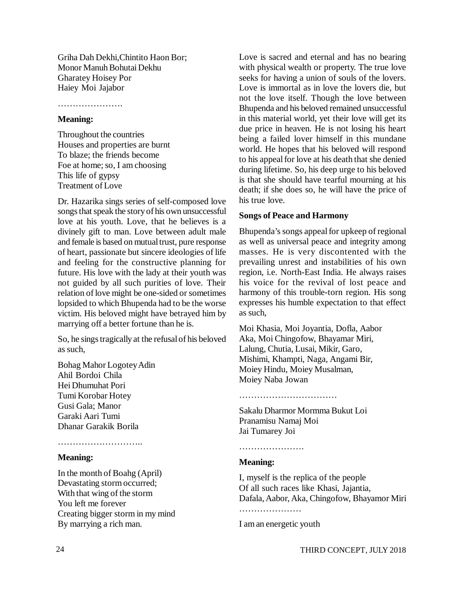Griha Dah Dekhi,Chintito Haon Bor; Monor Manuh Bohutai Dekhu Gharatey Hoisey Por Haiey Moi Jajabor

………………….

#### **Meaning:**

Throughout the countries Houses and properties are burnt To blaze; the friends become Foe at home; so, I am choosing This life of gypsy Treatment of Love

Dr. Hazarika sings series of self-composed love songs that speak the story of his own unsuccessful love at his youth. Love, that he believes is a divinely gift to man. Love between adult male and female is based on mutual trust, pure response of heart, passionate but sincere ideologies of life and feeling for the constructive planning for future. His love with the lady at their youth was not guided by all such purities of love. Their relation of love might be one-sided or sometimes lopsided to which Bhupenda had to be the worse victim. His beloved might have betrayed him by marrying off a better fortune than he is.

So, he sings tragically at the refusal of his beloved as such,

Bohag Mahor Logotey Adin Ahil Bordoi Chila Hei Dhumuhat Pori Tumi Korobar Hotey Gusi Gala; Manor Garaki Aari Tumi Dhanar Garakik Borila

#### ………………………………

#### **Meaning:**

In the month of Boahg (April) Devastating storm occurred; With that wing of the storm You left me forever Creating bigger storm in my mind By marrying a rich man.

Love is sacred and eternal and has no bearing with physical wealth or property. The true love seeks for having a union of souls of the lovers. Love is immortal as in love the lovers die, but not the love itself. Though the love between Bhupenda and his beloved remained unsuccessful in this material world, yet their love will get its due price in heaven. He is not losing his heart being a failed lover himself in this mundane world. He hopes that his beloved will respond to his appeal for love at his death that she denied during lifetime. So, his deep urge to his beloved is that she should have tearful mourning at his death; if she does so, he will have the price of his true love.

#### **Songs of Peace and Harmony**

Bhupenda's songs appeal for upkeep of regional as well as universal peace and integrity among masses. He is very discontented with the prevailing unrest and instabilities of his own region, i.e. North-East India. He always raises his voice for the revival of lost peace and harmony of this trouble-torn region. His song expresses his humble expectation to that effect as such,

Moi Khasia, Moi Joyantia, Dofla, Aabor Aka, Moi Chingofow, Bhayamar Miri, Lalung, Chutia, Lusai, Mikir, Garo, Mishimi, Khampti, Naga, Angami Bir, Moiey Hindu, Moiey Musalman, Moiey Naba Jowan

#### ……………………………

Sakalu Dharmor Mormma Bukut Loi Pranamisu Namaj Moi Jai Tumarey Joi

…………………………

#### **Meaning:**

I, myself is the replica of the people Of all such races like Khasi, Jajantia, Dafala, Aabor, Aka, Chingofow, Bhayamor Miri ……………………

I am an energetic youth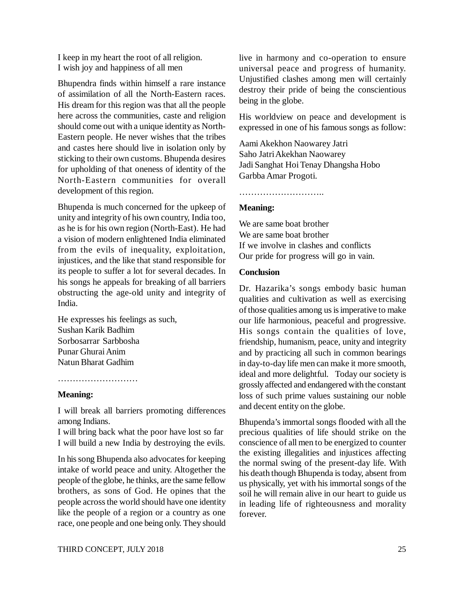I keep in my heart the root of all religion. I wish joy and happiness of all men

Bhupendra finds within himself a rare instance of assimilation of all the North-Eastern races. His dream for this region was that all the people here across the communities, caste and religion should come out with a unique identity as North-Eastern people. He never wishes that the tribes and castes here should live in isolation only by sticking to their own customs. Bhupenda desires for upholding of that oneness of identity of the North-Eastern communities for overall development of this region.

Bhupenda is much concerned for the upkeep of unity and integrity of his own country, India too, as he is for his own region (North-East). He had a vision of modern enlightened India eliminated from the evils of inequality, exploitation, injustices, and the like that stand responsible for its people to suffer a lot for several decades. In his songs he appeals for breaking of all barriers obstructing the age-old unity and integrity of India.

He expresses his feelings as such, Sushan Karik Badhim Sorbosarrar Sarbbosha Punar Ghurai Anim Natun Bharat Gadhim

………………………………………

#### **Meaning:**

I will break all barriers promoting differences among Indians.

I will bring back what the poor have lost so far I will build a new India by destroying the evils.

In his song Bhupenda also advocates for keeping intake of world peace and unity. Altogether the people of the globe, he thinks, are the same fellow brothers, as sons of God. He opines that the people across the world should have one identity like the people of a region or a country as one race, one people and one being only. They should

live in harmony and co-operation to ensure universal peace and progress of humanity. Unjustified clashes among men will certainly destroy their pride of being the conscientious being in the globe.

His worldview on peace and development is expressed in one of his famous songs as follow:

Aami Akekhon Naowarey Jatri Saho Jatri Akekhan Naowarey Jadi Sanghat Hoi Tenay Dhangsha Hobo Garbba Amar Progoti.

#### **Meaning:**

………………………………………

We are same boat brother We are same boat brother If we involve in clashes and conflicts Our pride for progress will go in vain.

#### **Conclusion**

Dr. Hazarika's songs embody basic human qualities and cultivation as well as exercising of those qualities among us is imperative to make our life harmonious, peaceful and progressive. His songs contain the qualities of love, friendship, humanism, peace, unity and integrity and by practicing all such in common bearings in day-to-day life men can make it more smooth, ideal and more delightful. Today our society is grossly affected and endangered with the constant loss of such prime values sustaining our noble and decent entity on the globe.

Bhupenda's immortal songs flooded with all the precious qualities of life should strike on the conscience of all men to be energized to counter the existing illegalities and injustices affecting the normal swing of the present-day life. With his death though Bhupenda is today, absent from us physically, yet with his immortal songs of the soil he will remain alive in our heart to guide us in leading life of righteousness and morality forever.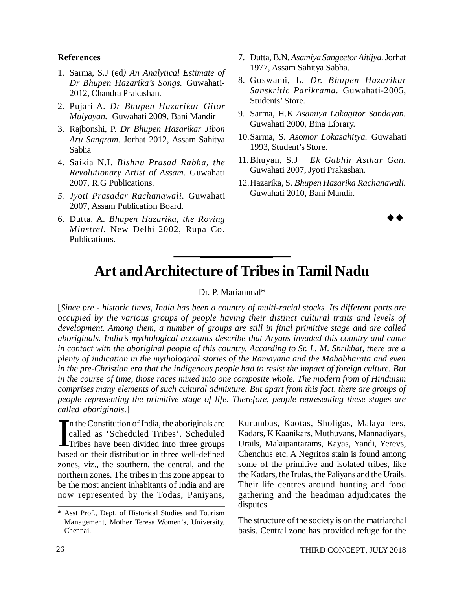#### **References**

- 1. Sarma, S.J (ed*) An Analytical Estimate of Dr Bhupen Hazarika's Songs.* Guwahati-2012, Chandra Prakashan.
- 2. Pujari A. *Dr Bhupen Hazarikar Gitor Mulyayan.* Guwahati 2009, Bani Mandir
- 3. Rajbonshi, P. *Dr Bhupen Hazarikar Jibon Aru Sangram.* Jorhat 2012, Assam Sahitya Sabha
- 4. Saikia N.I. *Bishnu Prasad Rabha, the Revolutionary Artist of Assam.* Guwahati 2007, R.G Publications.
- *5. Jyoti Prasadar Rachanawali.* Guwahati 2007, Assam Publication Board.
- 6. Dutta, A. *Bhupen Hazarika, the Roving Minstrel.* New Delhi 2002, Rupa Co. Publications.
- 7. Dutta, B.N. *Asamiya Sangeetor Aitijya.* Jorhat 1977, Assam Sahitya Sabha.
- 8. Goswami, L. *Dr. Bhupen Hazarikar Sanskritic Parikrama.* Guwahati-2005, Students' Store.
- 9. Sarma, H.K *Asamiya Lokagitor Sandayan.* Guwahati 2000, Bina Library.
- 10.Sarma, S. *Asomor Lokasahitya.* Guwahati 1993, Student's Store.
- 11.Bhuyan, S.J *Ek Gabhir Asthar Gan.* Guwahati 2007, Jyoti Prakashan*.*
- 12.Hazarika, S. *Bhupen Hazarika Rachanawali.* Guwahati 2010, Bani Mandir.

 $\rightarrow \rightarrow$ 

# **Art and Architecture of Tribes in Tamil Nadu**

#### Dr. P. Mariammal\*

[*Since pre - historic times, India has been a country of multi-racial stocks. Its different parts are occupied by the various groups of people having their distinct cultural traits and levels of development. Among them, a number of groups are still in final primitive stage and are called aboriginals. India's mythological accounts describe that Aryans invaded this country and came in contact with the aboriginal people of this country. According to Sr. L. M. Shrikhat, there are a plenty of indication in the mythological stories of the Ramayana and the Mahabharata and even in the pre-Christian era that the indigenous people had to resist the impact of foreign culture. But in the course of time, those races mixed into one composite whole. The modern from of Hinduism comprises many elements of such cultural admixture. But apart from this fact, there are groups of people representing the primitive stage of life. Therefore, people representing these stages are called aboriginals*.]

In the Constitution of India, the aboriginals are called as 'Scheduled Tribes'. Scheduled Tribes have been divided into three groups based on their distribution in three well-defined n the Constitution of India, the aboriginals are called as 'Scheduled Tribes'. Scheduled Tribes have been divided into three groups zones, viz., the southern, the central, and the northern zones. The tribes in this zone appear to be the most ancient inhabitants of India and are now represented by the Todas, Paniyans,

Kurumbas, Kaotas, Sholigas, Malaya lees, Kadars, K Kaanikars, Muthuvans, Mannadiyars, Urails, Malaipantarams, Kayas, Yandi, Yerevs, Chenchus etc. A Negritos stain is found among some of the primitive and isolated tribes, like the Kadars, the Irulas, the Paliyans and the Urails. Their life centres around hunting and food gathering and the headman adjudicates the disputes.

The structure of the society is on the matriarchal basis. Central zone has provided refuge for the

<sup>\*</sup> Asst Prof., Dept. of Historical Studies and Tourism Management, Mother Teresa Women's, University, Chennai.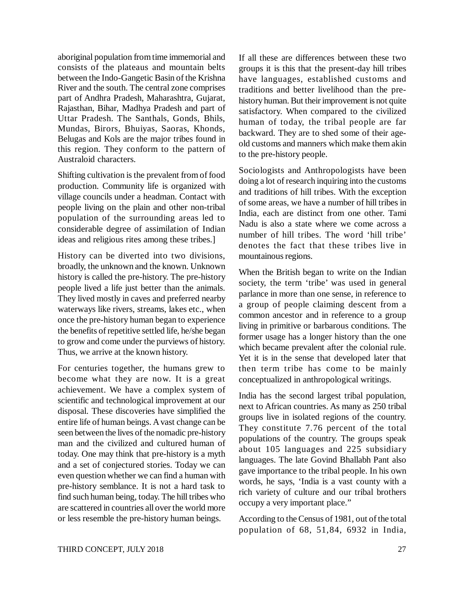aboriginal population from time immemorial and consists of the plateaus and mountain belts between the Indo-Gangetic Basin of the Krishna River and the south. The central zone comprises part of Andhra Pradesh, Maharashtra, Gujarat, Rajasthan, Bihar, Madhya Pradesh and part of Uttar Pradesh. The Santhals, Gonds, Bhils, Mundas, Birors, Bhuiyas, Saoras, Khonds, Belugas and Kols are the major tribes found in this region. They conform to the pattern of Australoid characters.

Shifting cultivation is the prevalent from of food production. Community life is organized with village councils under a headman. Contact with people living on the plain and other non-tribal population of the surrounding areas led to considerable degree of assimilation of Indian ideas and religious rites among these tribes.]

History can be diverted into two divisions, broadly, the unknown and the known. Unknown history is called the pre-history. The pre-history people lived a life just better than the animals. They lived mostly in caves and preferred nearby waterways like rivers, streams, lakes etc., when once the pre-history human began to experience the benefits of repetitive settled life, he/she began to grow and come under the purviews of history. Thus, we arrive at the known history.

For centuries together, the humans grew to become what they are now. It is a great achievement. We have a complex system of scientific and technological improvement at our disposal. These discoveries have simplified the entire life of human beings. A vast change can be seen between the lives of the nomadic pre-history man and the civilized and cultured human of today. One may think that pre-history is a myth and a set of conjectured stories. Today we can even question whether we can find a human with pre-history semblance. It is not a hard task to find such human being, today. The hill tribes who are scattered in countries all over the world more or less resemble the pre-history human beings.

If all these are differences between these two groups it is this that the present-day hill tribes have languages, established customs and traditions and better livelihood than the prehistory human. But their improvement is not quite satisfactory. When compared to the civilized human of today, the tribal people are far backward. They are to shed some of their ageold customs and manners which make them akin to the pre-history people.

Sociologists and Anthropologists have been doing a lot of research inquiring into the customs and traditions of hill tribes. With the exception of some areas, we have a number of hill tribes in India, each are distinct from one other. Tami Nadu is also a state where we come across a number of hill tribes. The word 'hill tribe' denotes the fact that these tribes live in mountainous regions.

When the British began to write on the Indian society, the term 'tribe' was used in general parlance in more than one sense, in reference to a group of people claiming descent from a common ancestor and in reference to a group living in primitive or barbarous conditions. The former usage has a longer history than the one which became prevalent after the colonial rule. Yet it is in the sense that developed later that then term tribe has come to be mainly conceptualized in anthropological writings.

India has the second largest tribal population, next to African countries. As many as 250 tribal groups live in isolated regions of the country. They constitute 7.76 percent of the total populations of the country. The groups speak about 105 languages and 225 subsidiary languages. The late Govind Bhallabh Pant also gave importance to the tribal people. In his own words, he says, 'India is a vast county with a rich variety of culture and our tribal brothers occupy a very important place."

According to the Census of 1981, out of the total population of 68, 51,84, 6932 in India,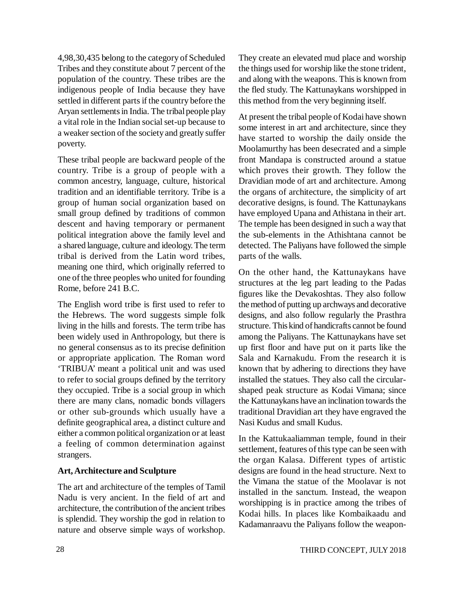4,98,30,435 belong to the category of Scheduled Tribes and they constitute about 7 percent of the population of the country. These tribes are the indigenous people of India because they have settled in different parts if the country before the Aryan settlements in India. The tribal people play a vital role in the Indian social set-up because to a weaker section of the society and greatly suffer poverty.

These tribal people are backward people of the country. Tribe is a group of people with a common ancestry, language, culture, historical tradition and an identifiable territory. Tribe is a group of human social organization based on small group defined by traditions of common descent and having temporary or permanent political integration above the family level and a shared language, culture and ideology. The term tribal is derived from the Latin word tribes, meaning one third, which originally referred to one of the three peoples who united for founding Rome, before 241 B.C.

The English word tribe is first used to refer to the Hebrews. The word suggests simple folk living in the hills and forests. The term tribe has been widely used in Anthropology, but there is no general consensus as to its precise definition or appropriate application. The Roman word 'TRIBUA' meant a political unit and was used to refer to social groups defined by the territory they occupied. Tribe is a social group in which there are many clans, nomadic bonds villagers or other sub-grounds which usually have a definite geographical area, a distinct culture and either a common political organization or at least a feeling of common determination against strangers.

# **Art, Architecture and Sculpture**

The art and architecture of the temples of Tamil Nadu is very ancient. In the field of art and architecture, the contribution of the ancient tribes is splendid. They worship the god in relation to nature and observe simple ways of workshop. They create an elevated mud place and worship the things used for worship like the stone trident, and along with the weapons. This is known from the fled study. The Kattunaykans worshipped in this method from the very beginning itself.

At present the tribal people of Kodai have shown some interest in art and architecture, since they have started to worship the daily onside the Moolamurthy has been desecrated and a simple front Mandapa is constructed around a statue which proves their growth. They follow the Dravidian mode of art and architecture. Among the organs of architecture, the simplicity of art decorative designs, is found. The Kattunaykans have employed Upana and Athistana in their art. The temple has been designed in such a way that the sub-elements in the Athishtana cannot be detected. The Paliyans have followed the simple parts of the walls.

On the other hand, the Kattunaykans have structures at the leg part leading to the Padas figures like the Devakoshtas. They also follow the method of putting up archways and decorative designs, and also follow regularly the Prasthra structure. This kind of handicrafts cannot be found among the Paliyans. The Kattunaykans have set up first floor and have put on it parts like the Sala and Karnakudu. From the research it is known that by adhering to directions they have installed the statues. They also call the circularshaped peak structure as Kodai Vimana; since the Kattunaykans have an inclination towards the traditional Dravidian art they have engraved the Nasi Kudus and small Kudus.

In the Kattukaaliamman temple, found in their settlement, features of this type can be seen with the organ Kalasa. Different types of artistic designs are found in the head structure. Next to the Vimana the statue of the Moolavar is not installed in the sanctum. Instead, the weapon worshipping is in practice among the tribes of Kodai hills. In places like Kombaikaadu and Kadamanraavu the Paliyans follow the weapon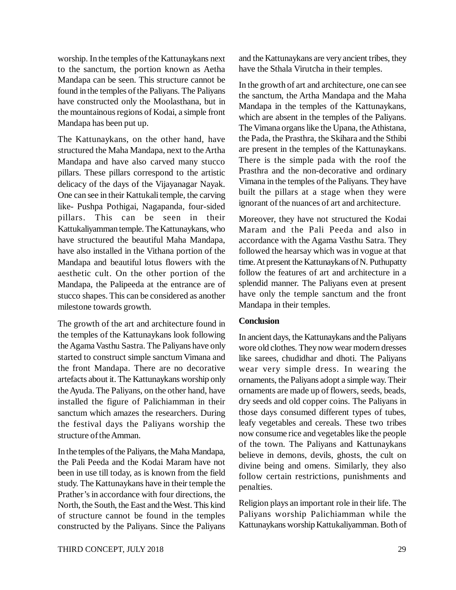worship. In the temples of the Kattunaykans next to the sanctum, the portion known as Aetha Mandapa can be seen. This structure cannot be found in the temples of the Paliyans. The Paliyans have constructed only the Moolasthana, but in the mountainous regions of Kodai, a simple front Mandapa has been put up.

The Kattunaykans, on the other hand, have structured the Maha Mandapa, next to the Artha Mandapa and have also carved many stucco pillars. These pillars correspond to the artistic delicacy of the days of the Vijayanagar Nayak. One can see in their Kattukali temple, the carving like- Pushpa Pothigai, Nagapanda, four-sided pillars. This can be seen in their Kattukaliyamman temple. The Kattunaykans, who have structured the beautiful Maha Mandapa, have also installed in the Vithana portion of the Mandapa and beautiful lotus flowers with the aesthetic cult. On the other portion of the Mandapa, the Palipeeda at the entrance are of stucco shapes. This can be considered as another milestone towards growth.

The growth of the art and architecture found in the temples of the Kattunaykans look following the Agama Vasthu Sastra. The Paliyans have only started to construct simple sanctum Vimana and the front Mandapa. There are no decorative artefacts about it. The Kattunaykans worship only the Ayuda. The Paliyans, on the other hand, have installed the figure of Palichiamman in their sanctum which amazes the researchers. During the festival days the Paliyans worship the structure of the Amman.

In the temples of the Paliyans, the Maha Mandapa, the Pali Peeda and the Kodai Maram have not been in use till today, as is known from the field study. The Kattunaykans have in their temple the Prather's in accordance with four directions, the North, the South, the East and the West. This kind of structure cannot be found in the temples constructed by the Paliyans. Since the Paliyans and the Kattunaykans are very ancient tribes, they have the Sthala Virutcha in their temples.

In the growth of art and architecture, one can see the sanctum, the Artha Mandapa and the Maha Mandapa in the temples of the Kattunaykans, which are absent in the temples of the Paliyans. The Vimana organs like the Upana, the Athistana, the Pada, the Prasthra, the Skihara and the Sthibi are present in the temples of the Kattunaykans. There is the simple pada with the roof the Prasthra and the non-decorative and ordinary Vimana in the temples of the Paliyans. They have built the pillars at a stage when they were ignorant of the nuances of art and architecture.

Moreover, they have not structured the Kodai Maram and the Pali Peeda and also in accordance with the Agama Vasthu Satra. They followed the hearsay which was in vogue at that time. At present the Kattunaykans of N. Puthupatty follow the features of art and architecture in a splendid manner. The Paliyans even at present have only the temple sanctum and the front Mandapa in their temples.

#### **Conclusion**

In ancient days, the Kattunaykans and the Paliyans wore old clothes. They now wear modern dresses like sarees, chudidhar and dhoti. The Paliyans wear very simple dress. In wearing the ornaments, the Paliyans adopt a simple way. Their ornaments are made up of flowers, seeds, beads, dry seeds and old copper coins. The Paliyans in those days consumed different types of tubes, leafy vegetables and cereals. These two tribes now consume rice and vegetables like the people of the town. The Paliyans and Kattunaykans believe in demons, devils, ghosts, the cult on divine being and omens. Similarly, they also follow certain restrictions, punishments and penalties.

Religion plays an important role in their life. The Paliyans worship Palichiamman while the Kattunaykans worship Kattukaliyamman. Both of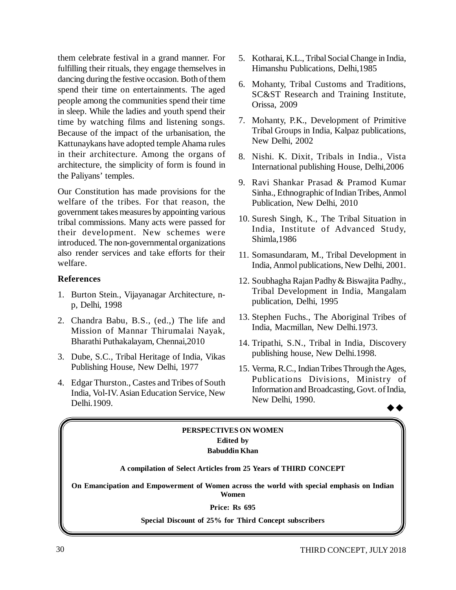them celebrate festival in a grand manner. For fulfilling their rituals, they engage themselves in dancing during the festive occasion. Both of them spend their time on entertainments. The aged people among the communities spend their time in sleep. While the ladies and youth spend their time by watching films and listening songs. Because of the impact of the urbanisation, the Kattunaykans have adopted temple Ahama rules in their architecture. Among the organs of architecture, the simplicity of form is found in the Paliyans' temples.

Our Constitution has made provisions for the welfare of the tribes. For that reason, the government takes measures by appointing various tribal commissions. Many acts were passed for their development. New schemes were introduced. The non-governmental organizations also render services and take efforts for their welfare.

#### **References**

- 1. Burton Stein., Vijayanagar Architecture, np, Delhi, 1998
- 2. Chandra Babu, B.S., (ed.,) The life and Mission of Mannar Thirumalai Nayak, Bharathi Puthakalayam, Chennai,2010
- 3. Dube, S.C., Tribal Heritage of India, Vikas Publishing House, New Delhi, 1977
- 4. Edgar Thurston., Castes and Tribes of South India, Vol-IV. Asian Education Service, New Delhi.1909.
- 5. Kotharai, K.L., Tribal Social Change in India, Himanshu Publications, Delhi,1985
- 6. Mohanty, Tribal Customs and Traditions, SC&ST Research and Training Institute, Orissa, 2009
- 7. Mohanty, P.K., Development of Primitive Tribal Groups in India, Kalpaz publications, New Delhi, 2002
- 8. Nishi. K. Dixit, Tribals in India., Vista International publishing House, Delhi,2006
- 9. Ravi Shankar Prasad & Pramod Kumar Sinha., Ethnographic of Indian Tribes, Anmol Publication, New Delhi, 2010
- 10. Suresh Singh, K., The Tribal Situation in India, Institute of Advanced Study, Shimla,1986
- 11. Somasundaram, M., Tribal Development in India, Anmol publications, New Delhi, 2001.
- 12. Soubhagha Rajan Padhy & Biswajita Padhy., Tribal Development in India, Mangalam publication, Delhi, 1995
- 13. Stephen Fuchs., The Aboriginal Tribes of India, Macmillan, New Delhi.1973.
- 14. Tripathi, S.N., Tribal in India, Discovery publishing house, New Delhi.1998.
- 15. Verma, R.C., Indian Tribes Through the Ages, Publications Divisions, Ministry of Information and Broadcasting, Govt. of India, New Delhi, 1990.  $\rightarrow \rightarrow$

#### **PERSPECTIVES ON WOMEN Edited by Babuddin Khan**

#### **A compilation of Select Articles from 25 Years of THIRD CONCEPT**

**On Emancipation and Empowerment of Women across the world with special emphasis on Indian Women**

#### **Price: Rs 695**

**Special Discount of 25% for Third Concept subscribers**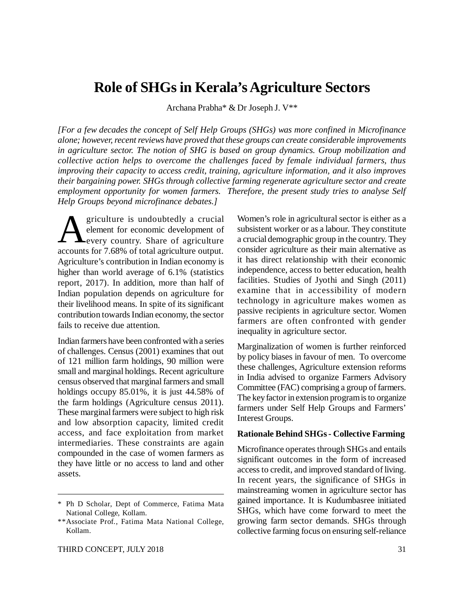# **Role of SHGs in Kerala's Agriculture Sectors**

Archana Prabha\* & Dr Joseph J. V\*\*

*[For a few decades the concept of Self Help Groups (SHGs) was more confined in Microfinance alone; however, recent reviews have proved that these groups can create considerable improvements in agriculture sector. The notion of SHG is based on group dynamics. Group mobilization and collective action helps to overcome the challenges faced by female individual farmers, thus improving their capacity to access credit, training, agriculture information, and it also improves their bargaining power. SHGs through collective farming regenerate agriculture sector and create employment opportunity for women farmers. Therefore, the present study tries to analyse Self Help Groups beyond microfinance debates.]*

**A** griculture is undoubtedly a crucial element for economic development of every country. Share of agriculture accounts for 7.68% of total agriculture output. griculture is undoubtedly a crucial element for economic development of **Levery country. Share of agriculture** Agriculture's contribution in Indian economy is higher than world average of 6.1% (statistics report, 2017). In addition, more than half of Indian population depends on agriculture for their livelihood means. In spite of its significant contribution towards Indian economy, the sector fails to receive due attention.

Indian farmers have been confronted with a series of challenges. Census (2001) examines that out of 121 million farm holdings, 90 million were small and marginal holdings. Recent agriculture census observed that marginal farmers and small holdings occupy 85.01%, it is just 44.58% of the farm holdings (Agriculture census 2011). These marginal farmers were subject to high risk and low absorption capacity, limited credit access, and face exploitation from market intermediaries. These constraints are again compounded in the case of women farmers as they have little or no access to land and other assets.

THIRD CONCEPT, JULY 2018 31

Women's role in agricultural sector is either as a subsistent worker or as a labour. They constitute a crucial demographic group in the country. They consider agriculture as their main alternative as it has direct relationship with their economic independence, access to better education, health facilities. Studies of Jyothi and Singh (2011) examine that in accessibility of modern technology in agriculture makes women as passive recipients in agriculture sector. Women farmers are often confronted with gender inequality in agriculture sector.

Marginalization of women is further reinforced by policy biases in favour of men. To overcome these challenges, Agriculture extension reforms in India advised to organize Farmers Advisory Committee (FAC) comprising a group of farmers. The key factor in extension program is to organize farmers under Self Help Groups and Farmers' Interest Groups.

#### **Rationale Behind SHGs - Collective Farming**

Microfinance operates through SHGs and entails significant outcomes in the form of increased access to credit, and improved standard of living. In recent years, the significance of SHGs in mainstreaming women in agriculture sector has gained importance. It is Kudumbasree initiated SHGs, which have come forward to meet the growing farm sector demands. SHGs through collective farming focus on ensuring self-reliance

<sup>\*</sup> Ph D Scholar, Dept of Commerce, Fatima Mata National College, Kollam.

<sup>\*\*</sup>Associate Prof., Fatima Mata National College, Kollam.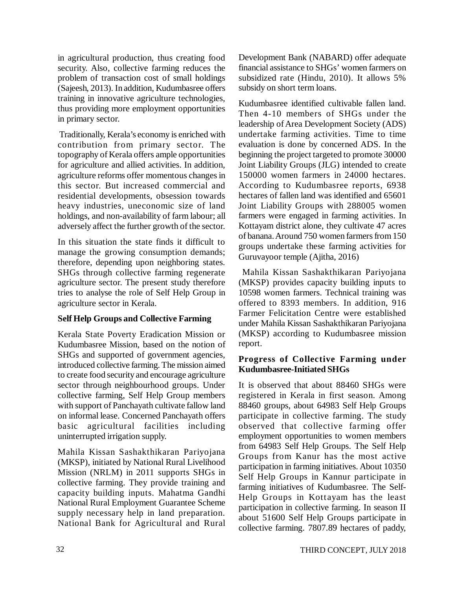in agricultural production, thus creating food security. Also, collective farming reduces the problem of transaction cost of small holdings (Sajeesh, 2013). In addition, Kudumbasree offers training in innovative agriculture technologies, thus providing more employment opportunities in primary sector.

 Traditionally, Kerala's economy is enriched with contribution from primary sector. The topography of Kerala offers ample opportunities for agriculture and allied activities. In addition, agriculture reforms offer momentous changes in this sector. But increased commercial and residential developments, obsession towards heavy industries, uneconomic size of land holdings, and non-availability of farm labour; all adversely affect the further growth of the sector.

In this situation the state finds it difficult to manage the growing consumption demands; therefore, depending upon neighboring states. SHGs through collective farming regenerate agriculture sector. The present study therefore tries to analyse the role of Self Help Group in agriculture sector in Kerala.

# **Self Help Groups and Collective Farming**

Kerala State Poverty Eradication Mission or Kudumbasree Mission, based on the notion of SHGs and supported of government agencies, introduced collective farming. The mission aimed to create food security and encourage agriculture sector through neighbourhood groups. Under collective farming, Self Help Group members with support of Panchayath cultivate fallow land on informal lease. Concerned Panchayath offers basic agricultural facilities including uninterrupted irrigation supply.

Mahila Kissan Sashakthikaran Pariyojana (MKSP), initiated by National Rural Livelihood Mission (NRLM) in 2011 supports SHGs in collective farming. They provide training and capacity building inputs. Mahatma Gandhi National Rural Employment Guarantee Scheme supply necessary help in land preparation. National Bank for Agricultural and Rural Development Bank (NABARD) offer adequate financial assistance to SHGs' women farmers on subsidized rate (Hindu, 2010). It allows 5% subsidy on short term loans.

Kudumbasree identified cultivable fallen land. Then 4-10 members of SHGs under the leadership of Area Development Society (ADS) undertake farming activities. Time to time evaluation is done by concerned ADS. In the beginning the project targeted to promote 30000 Joint Liability Groups (JLG) intended to create 150000 women farmers in 24000 hectares. According to Kudumbasree reports, 6938 hectares of fallen land was identified and 65601 Joint Liability Groups with 288005 women farmers were engaged in farming activities. In Kottayam district alone, they cultivate 47 acres of banana. Around 750 women farmers from 150 groups undertake these farming activities for Guruvayoor temple (Ajitha, 2016)

 Mahila Kissan Sashakthikaran Pariyojana (MKSP) provides capacity building inputs to 10598 women farmers. Technical training was offered to 8393 members. In addition, 916 Farmer Felicitation Centre were established under Mahila Kissan Sashakthikaran Pariyojana (MKSP) according to Kudumbasree mission report.

# **Progress of Collective Farming under Kudumbasree-Initiated SHGs**

It is observed that about 88460 SHGs were registered in Kerala in first season. Among 88460 groups, about 64983 Self Help Groups participate in collective farming. The study observed that collective farming offer employment opportunities to women members from 64983 Self Help Groups. The Self Help Groups from Kanur has the most active participation in farming initiatives. About 10350 Self Help Groups in Kannur participate in farming initiatives of Kudumbasree. The Self-Help Groups in Kottayam has the least participation in collective farming. In season II about 51600 Self Help Groups participate in collective farming. 7807.89 hectares of paddy,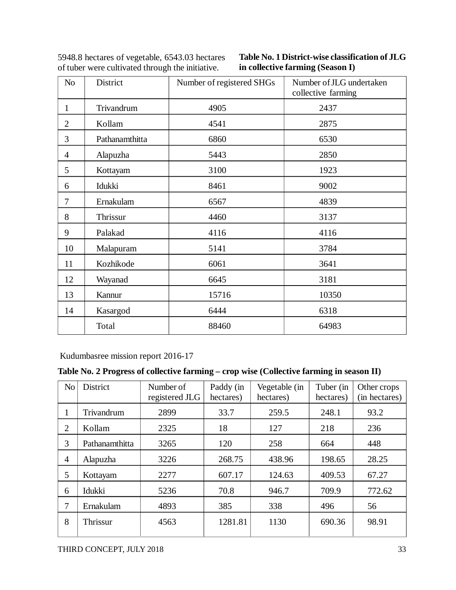| N <sub>o</sub> | District       | Number of registered SHGs | Number of JLG undertaken<br>collective farming |
|----------------|----------------|---------------------------|------------------------------------------------|
| $\mathbf{1}$   | Trivandrum     | 4905                      | 2437                                           |
| $\overline{2}$ | Kollam         | 4541                      | 2875                                           |
| 3              | Pathanamthitta | 6860                      | 6530                                           |
| $\overline{4}$ | Alapuzha       | 5443                      | 2850                                           |
| 5              | Kottayam       | 3100                      | 1923                                           |
| 6              | Idukki         | 8461                      | 9002                                           |
| 7              | Ernakulam      | 6567                      | 4839                                           |
| 8              | Thrissur       | 4460                      | 3137                                           |
| 9              | Palakad        | 4116                      | 4116                                           |
| 10             | Malapuram      | 5141                      | 3784                                           |
| 11             | Kozhikode      | 6061                      | 3641                                           |
| 12             | Wayanad        | 6645                      | 3181                                           |
| 13             | Kannur         | 15716                     | 10350                                          |
| 14             | Kasargod       | 6444                      | 6318                                           |
|                | Total          | 88460                     | 64983                                          |

| 5948.8 hectares of vegetable, 6543.03 hectares   |  |
|--------------------------------------------------|--|
| of tuber were cultivated through the initiative. |  |

**Table No. 1 District-wise classification of JLG in collective farming (Season I)**

Kudumbasree mission report 2016-17

# **Table No. 2 Progress of collective farming – crop wise (Collective farming in season II)**

| N <sub>o</sub> | <b>District</b> | Number of<br>registered JLG | Paddy (in<br>hectares) | Vegetable (in<br>hectares) | Tuber (in<br>hectares) | Other crops<br>(in hectares) |
|----------------|-----------------|-----------------------------|------------------------|----------------------------|------------------------|------------------------------|
| $\mathbf{I}$   | Trivandrum      | 2899                        | 33.7                   | 259.5                      | 248.1                  | 93.2                         |
| 2              | Kollam          | 2325                        | 18                     | 127                        | 218                    | 236                          |
| 3              | Pathanamthitta  | 3265                        | 120                    | 258                        | 664                    | 448                          |
| $\overline{4}$ | Alapuzha        | 3226                        | 268.75                 | 438.96                     | 198.65                 | 28.25                        |
| 5              | Kottayam        | 2277                        | 607.17                 | 124.63                     | 409.53                 | 67.27                        |
| 6              | Idukki          | 5236                        | 70.8                   | 946.7                      | 709.9                  | 772.62                       |
| 7              | Ernakulam       | 4893                        | 385                    | 338                        | 496                    | 56                           |
| 8              | Thrissur        | 4563                        | 1281.81                | 1130                       | 690.36                 | 98.91                        |
|                |                 |                             |                        |                            |                        |                              |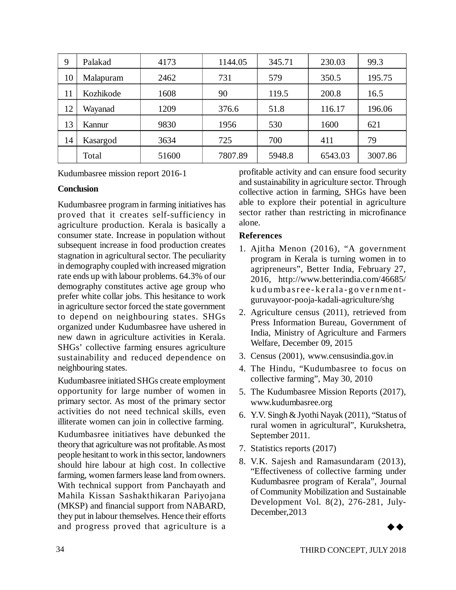| 9  | Palakad   | 4173  | 1144.05 | 345.71 | 230.03  | 99.3    |
|----|-----------|-------|---------|--------|---------|---------|
| 10 | Malapuram | 2462  | 731     | 579    | 350.5   | 195.75  |
| 11 | Kozhikode | 1608  | 90      | 119.5  | 200.8   | 16.5    |
| 12 | Wayanad   | 1209  | 376.6   | 51.8   | 116.17  | 196.06  |
| 13 | Kannur    | 9830  | 1956    | 530    | 1600    | 621     |
| 14 | Kasargod  | 3634  | 725     | 700    | 411     | 79      |
|    | Total     | 51600 | 7807.89 | 5948.8 | 6543.03 | 3007.86 |

Kudumbasree mission report 2016-1

# **Conclusion**

Kudumbasree program in farming initiatives has proved that it creates self-sufficiency in agriculture production. Kerala is basically a consumer state. Increase in population without subsequent increase in food production creates stagnation in agricultural sector. The peculiarity in demography coupled with increased migration rate ends up with labour problems. 64.3% of our demography constitutes active age group who prefer white collar jobs. This hesitance to work in agriculture sector forced the state government to depend on neighbouring states. SHGs organized under Kudumbasree have ushered in new dawn in agriculture activities in Kerala. SHGs' collective farming ensures agriculture sustainability and reduced dependence on neighbouring states.

Kudumbasree initiated SHGs create employment opportunity for large number of women in primary sector. As most of the primary sector activities do not need technical skills, even illiterate women can join in collective farming.

Kudumbasree initiatives have debunked the theory that agriculture was not profitable. As most people hesitant to work in this sector, landowners should hire labour at high cost. In collective farming, women farmers lease land from owners. With technical support from Panchayath and Mahila Kissan Sashakthikaran Pariyojana (MKSP) and financial support from NABARD, they put in labour themselves. Hence their efforts and progress proved that agriculture is a

profitable activity and can ensure food security and sustainability in agriculture sector. Through collective action in farming, SHGs have been able to explore their potential in agriculture sector rather than restricting in microfinance alone.

# **References**

- 1. Ajitha Menon (2016), "A government program in Kerala is turning women in to agripreneurs", Better India, February 27, 2016, <http://www.betterindia.com/46685/> ku du mbas ree - kerala - government guruvayoor-pooja-kadali-agriculture/shg
- 2. Agriculture census (2011), retrieved from Press Information Bureau, Government of India, Ministry of Agriculture and Farmers Welfare, December 09, 2015
- 3. Census (2001), [www.censusindia.gov.in](http://www.censusindia.gov.in)
- 4. The Hindu, "Kudumbasree to focus on collective farming", May 30, 2010
- 5. The Kudumbasree Mission Reports (2017), [www.kudumbasree.org](http://www.kudumbasree.org)
- 6. Y.V. Singh & Jyothi Nayak (2011), "Status of rural women in agricultural", Kurukshetra, September 2011.
- 7. Statistics reports (2017)
- 8. V.K. Sajesh and Ramasundaram (2013), "Effectiveness of collective farming under Kudumbasree program of Kerala", Journal of Community Mobilization and Sustainable Development Vol. 8(2), 276-281, July-December,2013

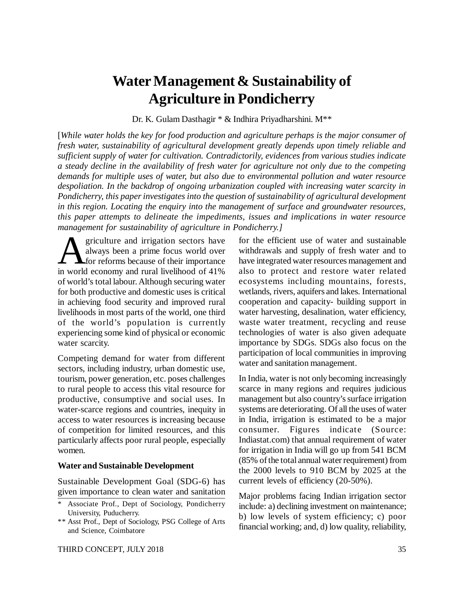# **Water Management & Sustainability of Agriculture in Pondicherry**

Dr. K. Gulam Dasthagir \* & Indhira Priyadharshini. M\*\*

[*While water holds the key for food production and agriculture perhaps is the major consumer of fresh water, sustainability of agricultural development greatly depends upon timely reliable and sufficient supply of water for cultivation. Contradictorily, evidences from various studies indicate a steady decline in the availability of fresh water for agriculture not only due to the competing demands for multiple uses of water, but also due to environmental pollution and water resource despoliation. In the backdrop of ongoing urbanization coupled with increasing water scarcity in Pondicherry, this paper investigates into the question of sustainability of agricultural development in this region. Locating the enquiry into the management of surface and groundwater resources, this paper attempts to delineate the impediments, issues and implications in water resource management for sustainability of agriculture in Pondicherry.]*

**A** griculture and irrigation sectors have<br>always been a prime focus world over<br>in world economy and rural livelihood of 41% griculture and irrigation sectors have always been a prime focus world over **A** for reforms because of their importance of world's total labour. Although securing water for both productive and domestic uses is critical in achieving food security and improved rural livelihoods in most parts of the world, one third of the world's population is currently experiencing some kind of physical or economic water scarcity.

Competing demand for water from different sectors, including industry, urban domestic use, tourism, power generation, etc. poses challenges to rural people to access this vital resource for productive, consumptive and social uses. In water-scarce regions and countries, inequity in access to water resources is increasing because of competition for limited resources, and this particularly affects poor rural people, especially women.

#### **Water and Sustainable Development**

Sustainable Development Goal (SDG-6) has given importance to clean water and sanitation for the efficient use of water and sustainable withdrawals and supply of fresh water and to have integrated water resources management and also to protect and restore water related ecosystems including mountains, forests, wetlands, rivers, aquifers and lakes. International cooperation and capacity- building support in water harvesting, desalination, water efficiency, waste water treatment, recycling and reuse technologies of water is also given adequate importance by SDGs. SDGs also focus on the participation of local communities in improving water and sanitation management.

In India, water is not only becoming increasingly scarce in many regions and requires judicious management but also country's surface irrigation systems are deteriorating. Of all the uses of water in India, irrigation is estimated to be a major consumer. Figures indicate (Source: Indiastat.com) that annual requirement of water for irrigation in India will go up from 541 BCM (85% of the total annual water requirement) from the 2000 levels to 910 BCM by 2025 at the current levels of efficiency (20-50%).

Major problems facing Indian irrigation sector include: a) declining investment on maintenance; b) low levels of system efficiency; c) poor financial working; and, d) low quality, reliability,

Associate Prof., Dept of Sociology, Pondicherry University, Puducherry.

<sup>\*\*</sup> Asst Prof., Dept of Sociology, PSG College of Arts and Science, Coimbatore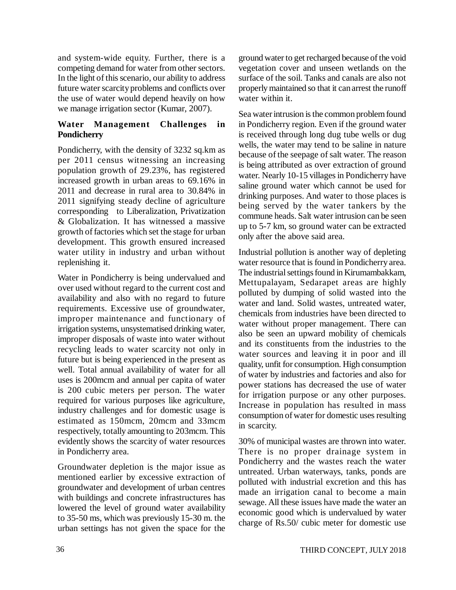and system-wide equity. Further, there is a competing demand for water from other sectors. In the light of this scenario, our ability to address future water scarcity problems and conflicts over the use of water would depend heavily on how we manage irrigation sector (Kumar, 2007).

# **Water Management Challenges in Pondicherry**

Pondicherry, with the density of 3232 sq.km as per 2011 census witnessing an increasing population growth of 29.23%, has registered increased growth in urban areas to 69.16% in 2011 and decrease in rural area to 30.84% in 2011 signifying steady decline of agriculture corresponding to Liberalization, Privatization & Globalization. It has witnessed a massive growth of factories which set the stage for urban development. This growth ensured increased water utility in industry and urban without replenishing it.

Water in Pondicherry is being undervalued and over used without regard to the current cost and availability and also with no regard to future requirements. Excessive use of groundwater, improper maintenance and functionary of irrigation systems, unsystematised drinking water, improper disposals of waste into water without recycling leads to water scarcity not only in future but is being experienced in the present as well. Total annual availability of water for all uses is 200mcm and annual per capita of water is 200 cubic meters per person. The water required for various purposes like agriculture, industry challenges and for domestic usage is estimated as 150mcm, 20mcm and 33mcm respectively, totally amounting to 203mcm. This evidently shows the scarcity of water resources in Pondicherry area.

Groundwater depletion is the major issue as mentioned earlier by excessive extraction of groundwater and development of urban centres with buildings and concrete infrastructures has lowered the level of ground water availability to 35-50 ms, which was previously 15-30 m. the urban settings has not given the space for the ground water to get recharged because of the void vegetation cover and unseen wetlands on the surface of the soil. Tanks and canals are also not properly maintained so that it can arrest the runoff water within it.

Sea water intrusion is the common problem found in Pondicherry region. Even if the ground water is received through long dug tube wells or dug wells, the water may tend to be saline in nature because of the seepage of salt water. The reason is being attributed as over extraction of ground water. Nearly 10-15 villages in Pondicherry have saline ground water which cannot be used for drinking purposes. And water to those places is being served by the water tankers by the commune heads. Salt water intrusion can be seen up to 5-7 km, so ground water can be extracted only after the above said area.

Industrial pollution is another way of depleting water resource that is found in Pondicherry area. The industrial settings found in Kirumambakkam, Mettupalayam, Sedarapet areas are highly polluted by dumping of solid wasted into the water and land. Solid wastes, untreated water, chemicals from industries have been directed to water without proper management. There can also be seen an upward mobility of chemicals and its constituents from the industries to the water sources and leaving it in poor and ill quality, unfit for consumption. High consumption of water by industries and factories and also for power stations has decreased the use of water for irrigation purpose or any other purposes. Increase in population has resulted in mass consumption of water for domestic uses resulting in scarcity.

30% of municipal wastes are thrown into water. There is no proper drainage system in Pondicherry and the wastes reach the water untreated. Urban waterways, tanks, ponds are polluted with industrial excretion and this has made an irrigation canal to become a main sewage. All these issues have made the water an economic good which is undervalued by water charge of Rs.50/ cubic meter for domestic use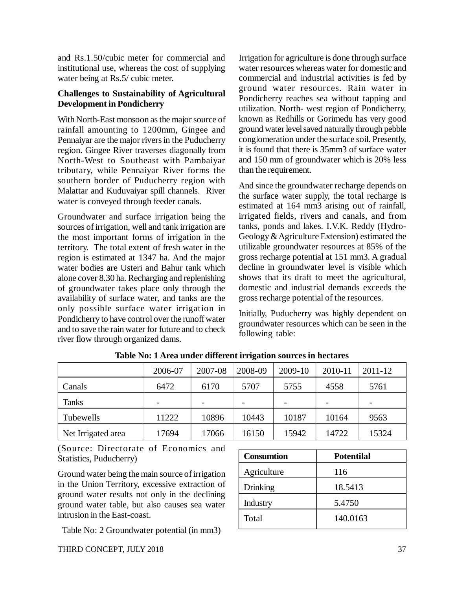and Rs.1.50/cubic meter for commercial and institutional use, whereas the cost of supplying water being at Rs.5/ cubic meter.

### **Challenges to Sustainability of Agricultural Development in Pondicherry**

With North-East monsoon as the major source of rainfall amounting to 1200mm, Gingee and Pennaiyar are the major rivers in the Puducherry region. Gingee River traverses diagonally from North-West to Southeast with Pambaiyar tributary, while Pennaiyar River forms the southern border of Puducherry region with Malattar and Kuduvaiyar spill channels. River water is conveyed through feeder canals.

Groundwater and surface irrigation being the sources of irrigation, well and tank irrigation are the most important forms of irrigation in the territory. The total extent of fresh water in the region is estimated at 1347 ha. And the major water bodies are Usteri and Bahur tank which alone cover 8.30 ha. Recharging and replenishing of groundwater takes place only through the availability of surface water, and tanks are the only possible surface water irrigation in Pondicherry to have control over the runoff water and to save the rain water for future and to check river flow through organized dams.

Irrigation for agriculture is done through surface water resources whereas water for domestic and commercial and industrial activities is fed by ground water resources. Rain water in Pondicherry reaches sea without tapping and utilization. North- west region of Pondicherry, known as Redhills or Gorimedu has very good ground water level saved naturally through pebble conglomeration under the surface soil. Presently, it is found that there is 35mm3 of surface water and 150 mm of groundwater which is 20% less than the requirement.

And since the groundwater recharge depends on the surface water supply, the total recharge is estimated at 164 mm3 arising out of rainfall, irrigated fields, rivers and canals, and from tanks, ponds and lakes. I.V.K. Reddy (Hydro-Geology & Agriculture Extension) estimated the utilizable groundwater resources at 85% of the gross recharge potential at 151 mm3. A gradual decline in groundwater level is visible which shows that its draft to meet the agricultural, domestic and industrial demands exceeds the gross recharge potential of the resources.

Initially, Puducherry was highly dependent on groundwater resources which can be seen in the following table:

|                    | 2006-07                  | 2007-08 | 2008-09 | 2009-10 | 2010-11 | 2011-12 |
|--------------------|--------------------------|---------|---------|---------|---------|---------|
| Canals             | 6472                     | 6170    | 5707    | 5755    | 4558    | 5761    |
| <b>Tanks</b>       | $\overline{\phantom{0}}$ |         |         |         |         |         |
| Tubewells          | 11222                    | 10896   | 10443   | 10187   | 10164   | 9563    |
| Net Irrigated area | 17694                    | 17066   | 16150   | 15942   | 14722   | 15324   |

**Table No: 1 Area under different irrigation sources in hectares**

(Source: Directorate of Economics and Statistics, Puducherry)

Ground water being the main source of irrigation in the Union Territory, excessive extraction of ground water results not only in the declining ground water table, but also causes sea water intrusion in the East-coast.

Table No: 2 Groundwater potential (in mm3)

| <b>Consumtion</b> | <b>Potentilal</b> |
|-------------------|-------------------|
| Agriculture       | 116               |
| Drinking          | 18.5413           |
| Industry          | 5.4750            |
| Total             | 140.0163          |
|                   |                   |

THIRD CONCEPT, JULY 2018 37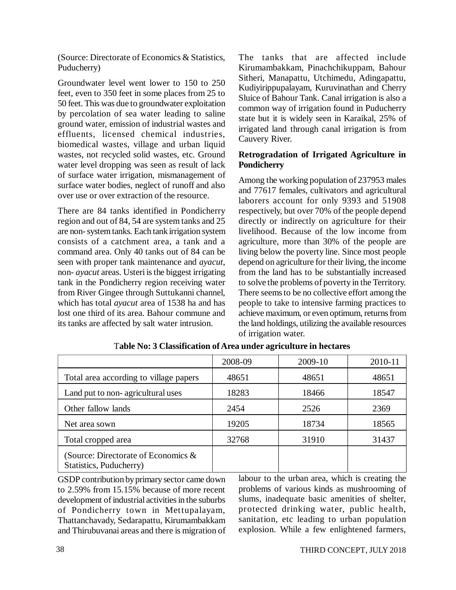(Source: Directorate of Economics & Statistics, Puducherry)

Groundwater level went lower to 150 to 250 feet, even to 350 feet in some places from 25 to 50 feet. This was due to groundwater exploitation by percolation of sea water leading to saline ground water, emission of industrial wastes and effluents, licensed chemical industries, biomedical wastes, village and urban liquid wastes, not recycled solid wastes, etc. Ground water level dropping was seen as result of lack of surface water irrigation, mismanagement of surface water bodies, neglect of runoff and also over use or over extraction of the resource.

There are 84 tanks identified in Pondicherry region and out of 84, 54 are system tanks and 25 are non- system tanks. Each tank irrigation system consists of a catchment area, a tank and a command area. Only 40 tanks out of 84 can be seen with proper tank maintenance and *ayacut*, non- *ayacut* areas. Usteri is the biggest irrigating tank in the Pondicherry region receiving water from River Gingee through Suttukanni channel, which has total *ayacut* area of 1538 ha and has lost one third of its area. Bahour commune and its tanks are affected by salt water intrusion.

The tanks that are affected include Kirumambakkam, Pinachchikuppam, Bahour Sitheri, Manapattu, Utchimedu, Adingapattu, Kudiyirippupalayam, Kuruvinathan and Cherry Sluice of Bahour Tank. Canal irrigation is also a common way of irrigation found in Puducherry state but it is widely seen in Karaikal, 25% of irrigated land through canal irrigation is from Cauvery River.

### **Retrogradation of Irrigated Agriculture in Pondicherry**

Among the working population of 237953 males and 77617 females, cultivators and agricultural laborers account for only 9393 and 51908 respectively, but over 70% of the people depend directly or indirectly on agriculture for their livelihood. Because of the low income from agriculture, more than 30% of the people are living below the poverty line. Since most people depend on agriculture for their living, the income from the land has to be substantially increased to solve the problems of poverty in the Territory. There seems to be no collective effort among the people to take to intensive farming practices to achieve maximum, or even optimum, returns from the land holdings, utilizing the available resources of irrigation water.

|                                                                | 2008-09 | 2009-10 | 2010-11 |
|----------------------------------------------------------------|---------|---------|---------|
| Total area according to village papers                         | 48651   | 48651   | 48651   |
| Land put to non-agricultural uses                              | 18283   | 18466   | 18547   |
| Other fallow lands                                             | 2454    | 2526    | 2369    |
| Net area sown                                                  | 19205   | 18734   | 18565   |
| Total cropped area                                             | 32768   | 31910   | 31437   |
| (Source: Directorate of Economics &<br>Statistics, Puducherry) |         |         |         |

T**able No: 3 Classification of Area under agriculture in hectares**

GSDP contribution by primary sector came down to 2.59% from 15.15% because of more recent development of industrial activities in the suburbs of Pondicherry town in Mettupalayam, Thattanchavady, Sedarapattu, Kirumambakkam and Thirubuvanai areas and there is migration of labour to the urban area, which is creating the problems of various kinds as mushrooming of slums, inadequate basic amenities of shelter, protected drinking water, public health, sanitation, etc leading to urban population explosion. While a few enlightened farmers,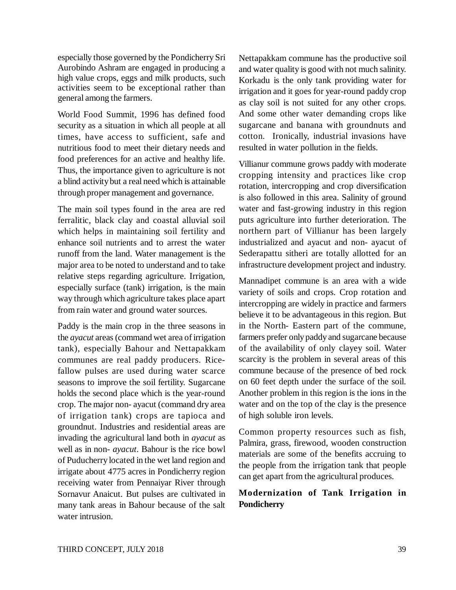especially those governed by the Pondicherry Sri Aurobindo Ashram are engaged in producing a high value crops, eggs and milk products, such activities seem to be exceptional rather than general among the farmers.

World Food Summit, 1996 has defined food security as a situation in which all people at all times, have access to sufficient, safe and nutritious food to meet their dietary needs and food preferences for an active and healthy life. Thus, the importance given to agriculture is not a blind activity but a real need which is attainable through proper management and governance.

The main soil types found in the area are red ferralitic, black clay and coastal alluvial soil which helps in maintaining soil fertility and enhance soil nutrients and to arrest the water runoff from the land. Water management is the major area to be noted to understand and to take relative steps regarding agriculture. Irrigation, especially surface (tank) irrigation, is the main way through which agriculture takes place apart from rain water and ground water sources.

Paddy is the main crop in the three seasons in the *ayacut* areas (command wet area of irrigation tank), especially Bahour and Nettapakkam communes are real paddy producers. Ricefallow pulses are used during water scarce seasons to improve the soil fertility. Sugarcane holds the second place which is the year-round crop. The major non- ayacut (command dry area of irrigation tank) crops are tapioca and groundnut. Industries and residential areas are invading the agricultural land both in *ayacut* as well as in non- *ayacut*. Bahour is the rice bowl of Puducherry located in the wet land region and irrigate about 4775 acres in Pondicherry region receiving water from Pennaiyar River through Sornavur Anaicut. But pulses are cultivated in many tank areas in Bahour because of the salt water intrusion.

Nettapakkam commune has the productive soil and water quality is good with not much salinity. Korkadu is the only tank providing water for irrigation and it goes for year-round paddy crop as clay soil is not suited for any other crops. And some other water demanding crops like sugarcane and banana with groundnuts and cotton. Ironically, industrial invasions have resulted in water pollution in the fields.

Villianur commune grows paddy with moderate cropping intensity and practices like crop rotation, intercropping and crop diversification is also followed in this area. Salinity of ground water and fast-growing industry in this region puts agriculture into further deterioration. The northern part of Villianur has been largely industrialized and ayacut and non- ayacut of Sederapattu sitheri are totally allotted for an infrastructure development project and industry.

Mannadipet commune is an area with a wide variety of soils and crops. Crop rotation and intercropping are widely in practice and farmers believe it to be advantageous in this region. But in the North- Eastern part of the commune, farmers prefer only paddy and sugarcane because of the availability of only clayey soil. Water scarcity is the problem in several areas of this commune because of the presence of bed rock on 60 feet depth under the surface of the soil. Another problem in this region is the ions in the water and on the top of the clay is the presence of high soluble iron levels.

Common property resources such as fish, Palmira, grass, firewood, wooden construction materials are some of the benefits accruing to the people from the irrigation tank that people can get apart from the agricultural produces.

# **Modernization of Tank Irrigation in Pondicherry**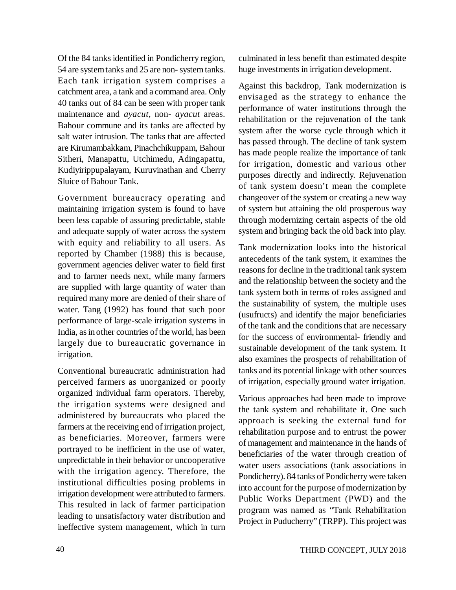Of the 84 tanks identified in Pondicherry region, 54 are system tanks and 25 are non- system tanks. Each tank irrigation system comprises a catchment area, a tank and a command area. Only 40 tanks out of 84 can be seen with proper tank maintenance and *ayacut*, non- *ayacut* areas. Bahour commune and its tanks are affected by salt water intrusion. The tanks that are affected are Kirumambakkam, Pinachchikuppam, Bahour Sitheri, Manapattu, Utchimedu, Adingapattu, Kudiyirippupalayam, Kuruvinathan and Cherry Sluice of Bahour Tank.

Government bureaucracy operating and maintaining irrigation system is found to have been less capable of assuring predictable, stable and adequate supply of water across the system with equity and reliability to all users. As reported by Chamber (1988) this is because, government agencies deliver water to field first and to farmer needs next, while many farmers are supplied with large quantity of water than required many more are denied of their share of water. Tang (1992) has found that such poor performance of large-scale irrigation systems in India, as in other countries of the world, has been largely due to bureaucratic governance in irrigation.

Conventional bureaucratic administration had perceived farmers as unorganized or poorly organized individual farm operators. Thereby, the irrigation systems were designed and administered by bureaucrats who placed the farmers at the receiving end of irrigation project, as beneficiaries. Moreover, farmers were portrayed to be inefficient in the use of water, unpredictable in their behavior or uncooperative with the irrigation agency. Therefore, the institutional difficulties posing problems in irrigation development were attributed to farmers. This resulted in lack of farmer participation leading to unsatisfactory water distribution and ineffective system management, which in turn culminated in less benefit than estimated despite huge investments in irrigation development.

Against this backdrop, Tank modernization is envisaged as the strategy to enhance the performance of water institutions through the rehabilitation or the rejuvenation of the tank system after the worse cycle through which it has passed through. The decline of tank system has made people realize the importance of tank for irrigation, domestic and various other purposes directly and indirectly. Rejuvenation of tank system doesn't mean the complete changeover of the system or creating a new way of system but attaining the old prosperous way through modernizing certain aspects of the old system and bringing back the old back into play.

Tank modernization looks into the historical antecedents of the tank system, it examines the reasons for decline in the traditional tank system and the relationship between the society and the tank system both in terms of roles assigned and the sustainability of system, the multiple uses (usufructs) and identify the major beneficiaries of the tank and the conditions that are necessary for the success of environmental- friendly and sustainable development of the tank system. It also examines the prospects of rehabilitation of tanks and its potential linkage with other sources of irrigation, especially ground water irrigation.

Various approaches had been made to improve the tank system and rehabilitate it. One such approach is seeking the external fund for rehabilitation purpose and to entrust the power of management and maintenance in the hands of beneficiaries of the water through creation of water users associations (tank associations in Pondicherry). 84 tanks of Pondicherry were taken into account for the purpose of modernization by Public Works Department (PWD) and the program was named as "Tank Rehabilitation Project in Puducherry" (TRPP). This project was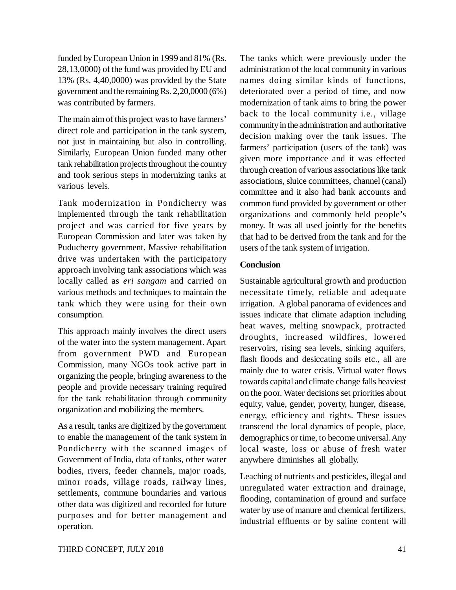funded by European Union in 1999 and 81% (Rs. 28,13,0000) of the fund was provided by EU and 13% (Rs. 4,40,0000) was provided by the State government and the remaining Rs. 2,20,0000 (6%) was contributed by farmers.

The main aim of this project was to have farmers' direct role and participation in the tank system, not just in maintaining but also in controlling. Similarly, European Union funded many other tank rehabilitation projects throughout the country and took serious steps in modernizing tanks at various levels.

Tank modernization in Pondicherry was implemented through the tank rehabilitation project and was carried for five years by European Commission and later was taken by Puducherry government. Massive rehabilitation drive was undertaken with the participatory approach involving tank associations which was locally called as *eri sangam* and carried on various methods and techniques to maintain the tank which they were using for their own consumption.

This approach mainly involves the direct users of the water into the system management. Apart from government PWD and European Commission, many NGOs took active part in organizing the people, bringing awareness to the people and provide necessary training required for the tank rehabilitation through community organization and mobilizing the members.

As a result, tanks are digitized by the government to enable the management of the tank system in Pondicherry with the scanned images of Government of India, data of tanks, other water bodies, rivers, feeder channels, major roads, minor roads, village roads, railway lines, settlements, commune boundaries and various other data was digitized and recorded for future purposes and for better management and operation.

The tanks which were previously under the administration of the local community in various names doing similar kinds of functions, deteriorated over a period of time, and now modernization of tank aims to bring the power back to the local community i.e., village community in the administration and authoritative decision making over the tank issues. The farmers' participation (users of the tank) was given more importance and it was effected through creation of various associations like tank associations, sluice committees, channel (canal) committee and it also had bank accounts and common fund provided by government or other organizations and commonly held people's money. It was all used jointly for the benefits that had to be derived from the tank and for the users of the tank system of irrigation.

#### **Conclusion**

Sustainable agricultural growth and production necessitate timely, reliable and adequate irrigation. A global panorama of evidences and issues indicate that climate adaption including heat waves, melting snowpack, protracted droughts, increased wildfires, lowered reservoirs, rising sea levels, sinking aquifers, flash floods and desiccating soils etc., all are mainly due to water crisis. Virtual water flows towards capital and climate change falls heaviest on the poor. Water decisions set priorities about equity, value, gender, poverty, hunger, disease, energy, efficiency and rights. These issues transcend the local dynamics of people, place, demographics or time, to become universal. Any local waste, loss or abuse of fresh water anywhere diminishes all globally.

Leaching of nutrients and pesticides, illegal and unregulated water extraction and drainage, flooding, contamination of ground and surface water by use of manure and chemical fertilizers, industrial effluents or by saline content will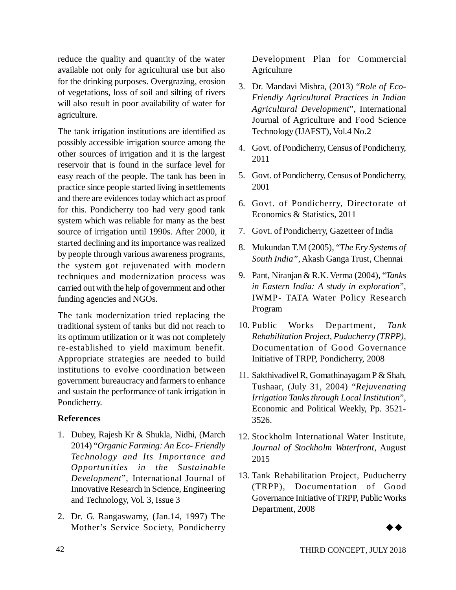reduce the quality and quantity of the water available not only for agricultural use but also for the drinking purposes. Overgrazing, erosion of vegetations, loss of soil and silting of rivers will also result in poor availability of water for agriculture.

The tank irrigation institutions are identified as possibly accessible irrigation source among the other sources of irrigation and it is the largest reservoir that is found in the surface level for easy reach of the people. The tank has been in practice since people started living in settlements and there are evidences today which act as proof for this. Pondicherry too had very good tank system which was reliable for many as the best source of irrigation until 1990s. After 2000, it started declining and its importance was realized by people through various awareness programs, the system got rejuvenated with modern techniques and modernization process was carried out with the help of government and other funding agencies and NGOs.

The tank modernization tried replacing the traditional system of tanks but did not reach to its optimum utilization or it was not completely re-established to yield maximum benefit. Appropriate strategies are needed to build institutions to evolve coordination between government bureaucracy and farmers to enhance and sustain the performance of tank irrigation in Pondicherry.

# **References**

- 1. Dubey, Rajesh Kr & Shukla, Nidhi, (March 2014) "*Organic Farming: An Eco- Friendly Technology and Its Importance and Opportunities in the Sustainable Development*", International Journal of Innovative Research in Science, Engineering and Technology, Vol. 3, Issue 3
- 2. Dr. G. Rangaswamy, (Jan.14, 1997) The Mother's Service Society, Pondicherry

Development Plan for Commercial **Agriculture** 

- 3. Dr. Mandavi Mishra, (2013) "*Role of Eco-Friendly Agricultural Practices in Indian Agricultural Development*", International Journal of Agriculture and Food Science Technology (IJAFST), Vol.4 No.2
- 4. Govt. of Pondicherry, Census of Pondicherry, 2011
- 5. Govt. of Pondicherry, Census of Pondicherry, 2001
- 6. Govt. of Pondicherry, Directorate of Economics & Statistics, 2011
- 7. Govt. of Pondicherry, Gazetteer of India
- 8. Mukundan T.M (2005), "*The Ery Systems of South India"*, Akash Ganga Trust, Chennai
- 9. Pant, Niranjan & R.K. Verma (2004), "*Tanks in Eastern India: A study in exploration*", IWMP- TATA Water Policy Research Program
- 10. Public Works Department, *Tank Rehabilitation Project, Puducherry (TRPP)*, Documentation of Good Governance Initiative of TRPP, Pondicherry, 2008
- 11. Sakthivadivel R, Gomathinayagam P & Shah, Tushaar, (July 31, 2004) "*Rejuvenating Irrigation Tanks through Local Institution*", Economic and Political Weekly, Pp. 3521- 3526.
- 12. Stockholm International Water Institute, *Journal of Stockholm Waterfront*, August 2015
- 13. Tank Rehabilitation Project, Puducherry (TRPP), Documentation of Good Governance Initiative of TRPP, Public Works Department, 2008

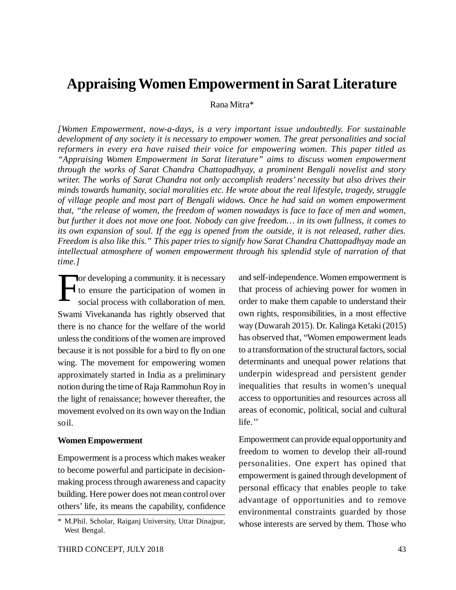# **Appraising Women Empowerment in Sarat Literature**

Rana Mitra\*

*[Women Empowerment, now-a-days, is a very important issue undoubtedly. For sustainable development of any society it is necessary to empower women. The great personalities and social reformers in every era have raised their voice for empowering women. This paper titled as "Appraising Women Empowerment in Sarat literature" aims to discuss women empowerment through the works of Sarat Chandra Chattopadhyay, a prominent Bengali novelist and story writer. The works of Sarat Chandra not only accomplish readers' necessity but also drives their minds towards humanity, social moralities etc. He wrote about the real lifestyle, tragedy, struggle of village people and most part of Bengali widows. Once he had said on women empowerment that, "the release of women, the freedom of women nowadays is face to face of men and women, but further it does not move one foot. Nobody can give freedom… in its own fullness, it comes to its own expansion of soul. If the egg is opened from the outside, it is not released, rather dies. Freedom is also like this." This paper tries to signify how Sarat Chandra Chattopadhyay made an intellectual atmosphere of women empowerment through his splendid style of narration of that time.]*

The developing a community. it is necessary<br>to ensure the participation of women in<br>social process with collaboration of men. to ensure the participation of women in social process with collaboration of men. Swami Vivekananda has rightly observed that there is no chance for the welfare of the world unless the conditions of the women are improved because it is not possible for a bird to fly on one wing. The movement for empowering women approximately started in India as a preliminary notion during the time of Raja Rammohun Roy in the light of renaissance; however thereafter, the movement evolved on its own way on the Indian soil.

#### **Women Empowerment**

Empowerment is a process which makes weaker to become powerful and participate in decisionmaking process through awareness and capacity building. Here power does not mean control over others' life, its means the capability, confidence and self-independence. Women empowerment is that process of achieving power for women in order to make them capable to understand their own rights, responsibilities, in a most effective way (Duwarah 2015). Dr. Kalinga Ketaki (2015) has observed that, "Women empowerment leads to a transformation of the structural factors, social determinants and unequal power relations that underpin widespread and persistent gender inequalities that results in women's unequal access to opportunities and resources across all areas of economic, political, social and cultural life.''

Empowerment can provide equal opportunity and freedom to women to develop their all-round personalities. One expert has opined that empowerment is gained through development of personal efficacy that enables people to take advantage of opportunities and to remove environmental constraints guarded by those whose interests are served by them. Those who

<sup>\*</sup> M.Phil. Scholar, Raiganj University, Uttar Dinajpur, West Bengal.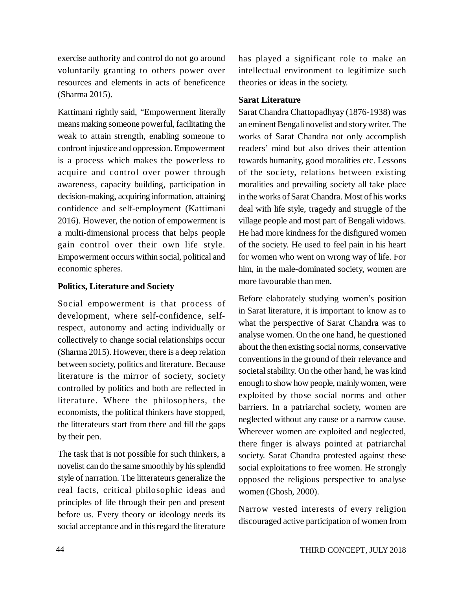exercise authority and control do not go around voluntarily granting to others power over resources and elements in acts of beneficence (Sharma 2015).

Kattimani rightly said, "Empowerment literally means making someone powerful, facilitating the weak to attain strength, enabling someone to confront injustice and oppression. Empowerment is a process which makes the powerless to acquire and control over power through awareness, capacity building, participation in decision-making, acquiring information, attaining confidence and self-employment (Kattimani 2016). However, the notion of empowerment is a multi-dimensional process that helps people gain control over their own life style. Empowerment occurs within social, political and economic spheres.

### **Politics, Literature and Society**

Social empowerment is that process of development, where self-confidence, selfrespect, autonomy and acting individually or collectively to change social relationships occur (Sharma 2015). However, there is a deep relation between society, politics and literature. Because literature is the mirror of society, society controlled by politics and both are reflected in literature. Where the philosophers, the economists, the political thinkers have stopped, the litterateurs start from there and fill the gaps by their pen.

The task that is not possible for such thinkers, a novelist can do the same smoothly by his splendid style of narration. The litterateurs generalize the real facts, critical philosophic ideas and principles of life through their pen and present before us. Every theory or ideology needs its social acceptance and in this regard the literature has played a significant role to make an intellectual environment to legitimize such theories or ideas in the society.

#### **Sarat Literature**

Sarat Chandra Chattopadhyay (1876-1938) was an eminent Bengali novelist and story writer. The works of Sarat Chandra not only accomplish readers' mind but also drives their attention towards humanity, good moralities etc. Lessons of the society, relations between existing moralities and prevailing society all take place in the works of Sarat Chandra. Most of his works deal with life style, tragedy and struggle of the village people and most part of Bengali widows. He had more kindness for the disfigured women of the society. He used to feel pain in his heart for women who went on wrong way of life. For him, in the male-dominated society, women are more favourable than men.

Before elaborately studying women's position in Sarat literature, it is important to know as to what the perspective of Sarat Chandra was to analyse women. On the one hand, he questioned about the then existing social norms, conservative conventions in the ground of their relevance and societal stability. On the other hand, he was kind enough to show how people, mainly women, were exploited by those social norms and other barriers. In a patriarchal society, women are neglected without any cause or a narrow cause. Wherever women are exploited and neglected, there finger is always pointed at patriarchal society. Sarat Chandra protested against these social exploitations to free women. He strongly opposed the religious perspective to analyse women (Ghosh, 2000).

Narrow vested interests of every religion discouraged active participation of women from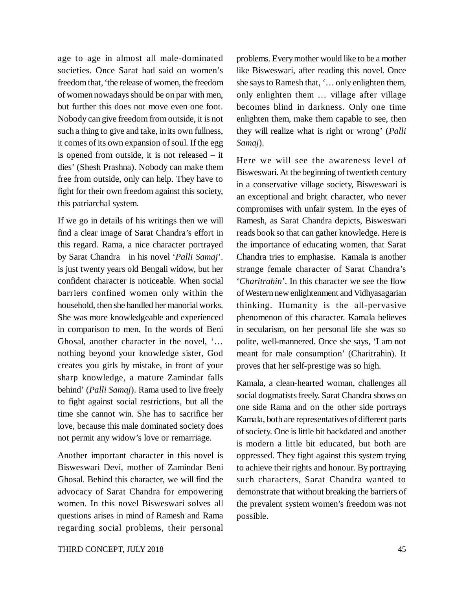age to age in almost all male-dominated societies. Once Sarat had said on women's freedom that, 'the release of women, the freedom of women nowadays should be on par with men, but further this does not move even one foot. Nobody can give freedom from outside, it is not such a thing to give and take, in its own fullness, it comes of its own expansion of soul. If the egg is opened from outside, it is not released – it dies' (Shesh Prashna). Nobody can make them free from outside, only can help. They have to fight for their own freedom against this society, this patriarchal system.

If we go in details of his writings then we will find a clear image of Sarat Chandra's effort in this regard. Rama, a nice character portrayed by Sarat Chandra in his novel '*Palli Samaj*'. is just twenty years old Bengali widow, but her confident character is noticeable. When social barriers confined women only within the household, then she handled her manorial works. She was more knowledgeable and experienced in comparison to men. In the words of Beni Ghosal, another character in the novel, '… nothing beyond your knowledge sister, God creates you girls by mistake, in front of your sharp knowledge, a mature Zamindar falls behind' (*Palli Samaj*). Rama used to live freely to fight against social restrictions, but all the time she cannot win. She has to sacrifice her love, because this male dominated society does not permit any widow's love or remarriage.

Another important character in this novel is Bisweswari Devi, mother of Zamindar Beni Ghosal. Behind this character, we will find the advocacy of Sarat Chandra for empowering women. In this novel Bisweswari solves all questions arises in mind of Ramesh and Rama regarding social problems, their personal problems. Every mother would like to be a mother like Bisweswari, after reading this novel. Once she says to Ramesh that, '… only enlighten them, only enlighten them … village after village becomes blind in darkness. Only one time enlighten them, make them capable to see, then they will realize what is right or wrong' (*Palli Samaj*).

Here we will see the awareness level of Bisweswari. At the beginning of twentieth century in a conservative village society, Bisweswari is an exceptional and bright character, who never compromises with unfair system. In the eyes of Ramesh, as Sarat Chandra depicts, Bisweswari reads book so that can gather knowledge. Here is the importance of educating women, that Sarat Chandra tries to emphasise. Kamala is another strange female character of Sarat Chandra's '*Charitrahin*'. In this character we see the flow of Western new enlightenment and Vidhyasagarian thinking. Humanity is the all-pervasive phenomenon of this character. Kamala believes in secularism, on her personal life she was so polite, well-mannered. Once she says, 'I am not meant for male consumption' (Charitrahin). It proves that her self-prestige was so high.

Kamala, a clean-hearted woman, challenges all social dogmatists freely. Sarat Chandra shows on one side Rama and on the other side portrays Kamala, both are representatives of different parts of society. One is little bit backdated and another is modern a little bit educated, but both are oppressed. They fight against this system trying to achieve their rights and honour. By portraying such characters, Sarat Chandra wanted to demonstrate that without breaking the barriers of the prevalent system women's freedom was not possible.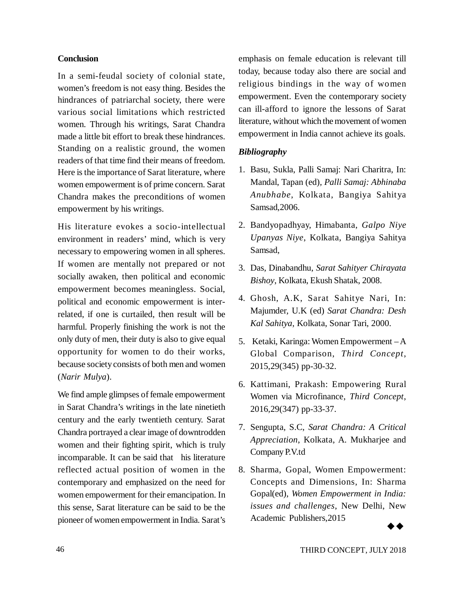#### **Conclusion**

In a semi-feudal society of colonial state, women's freedom is not easy thing. Besides the hindrances of patriarchal society, there were various social limitations which restricted women. Through his writings, Sarat Chandra made a little bit effort to break these hindrances. Standing on a realistic ground, the women readers of that time find their means of freedom. Here is the importance of Sarat literature, where women empowerment is of prime concern. Sarat Chandra makes the preconditions of women empowerment by his writings.

His literature evokes a socio-intellectual environment in readers' mind, which is very necessary to empowering women in all spheres. If women are mentally not prepared or not socially awaken, then political and economic empowerment becomes meaningless. Social, political and economic empowerment is interrelated, if one is curtailed, then result will be harmful. Properly finishing the work is not the only duty of men, their duty is also to give equal opportunity for women to do their works, because society consists of both men and women (*Narir Mulya*).

We find ample glimpses of female empowerment in Sarat Chandra's writings in the late ninetieth century and the early twentieth century. Sarat Chandra portrayed a clear image of downtrodden women and their fighting spirit, which is truly incomparable. It can be said that his literature reflected actual position of women in the contemporary and emphasized on the need for women empowerment for their emancipation. In this sense, Sarat literature can be said to be the pioneer of women empowerment in India. Sarat's

emphasis on female education is relevant till today, because today also there are social and religious bindings in the way of women empowerment. Even the contemporary society can ill-afford to ignore the lessons of Sarat literature, without which the movement of women empowerment in India cannot achieve its goals.

### *Bibliography*

- 1. Basu, Sukla, Palli Samaj: Nari Charitra, In: Mandal, Tapan (ed)*, Palli Samaj: Abhinaba Anubhabe*, Kolkata, Bangiya Sahitya Samsad,2006.
- 2. Bandyopadhyay, Himabanta, *Galpo Niye Upanyas Niye*, Kolkata, Bangiya Sahitya Samsad,
- 3. Das, Dinabandhu, *Sarat Sahityer Chirayata Bishoy*, Kolkata, Ekush Shatak, 2008.
- 4. Ghosh, A.K, Sarat Sahitye Nari, In: Majumder, U.K (ed) *Sarat Chandra: Desh Kal Sahitya*, Kolkata, Sonar Tari, 2000.
- 5. Ketaki, Karinga: Women Empowerment A Global Comparison, *Third Concept*, 2015,29(345) pp-30-32.
- 6. Kattimani, Prakash: Empowering Rural Women via Microfinance, *Third Concept*, 2016,29(347) pp-33-37.
- 7. Sengupta, S.C, *Sarat Chandra: A Critical Appreciation*, Kolkata, A. Mukharjee and Company P.V.td
- 8. Sharma, Gopal, Women Empowerment: Concepts and Dimensions, In: Sharma Gopal(ed), *Women Empowerment in India: issues and challenges*, New Delhi, New Academic Publishers,2015

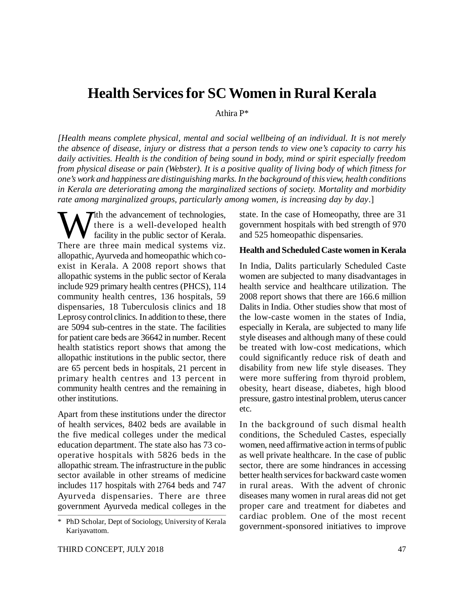# **Health Services for SC Women in Rural Kerala**

Athira P\*

*[Health means complete physical, mental and social wellbeing of an individual. It is not merely the absence of disease, injury or distress that a person tends to view one's capacity to carry his daily activities. Health is the condition of being sound in body, mind or spirit especially freedom from physical disease or pain (Webster). It is a positive quality of living body of which fitness for one's work and happiness are distinguishing marks. In the background of this view, health conditions in Kerala are deteriorating among the marginalized sections of society. Mortality and morbidity rate among marginalized groups, particularly among women, is increasing day by day*.]

W there is a well-developed health<br>facility in the public sector of Kerala.<br>There are three main medical systems viz.  $\sum$  th the advancement of technologies, there is a well-developed health facility in the public sector of Kerala. allopathic, Ayurveda and homeopathic which coexist in Kerala. A 2008 report shows that allopathic systems in the public sector of Kerala include 929 primary health centres (PHCS), 114 community health centres, 136 hospitals, 59 dispensaries, 18 Tuberculosis clinics and 18 Leprosy control clinics. In addition to these, there are 5094 sub-centres in the state. The facilities for patient care beds are 36642 in number. Recent health statistics report shows that among the allopathic institutions in the public sector, there are 65 percent beds in hospitals, 21 percent in primary health centres and 13 percent in community health centres and the remaining in other institutions.

Apart from these institutions under the director of health services, 8402 beds are available in the five medical colleges under the medical education department. The state also has 73 cooperative hospitals with 5826 beds in the allopathic stream. The infrastructure in the public sector available in other streams of medicine includes 117 hospitals with 2764 beds and 747 Ayurveda dispensaries. There are three government Ayurveda medical colleges in the

state. In the case of Homeopathy, three are 31 government hospitals with bed strength of 970 and 525 homeopathic dispensaries.

#### **Health and Scheduled Caste women in Kerala**

In India, Dalits particularly Scheduled Caste women are subjected to many disadvantages in health service and healthcare utilization. The 2008 report shows that there are 166.6 million Dalits in India. Other studies show that most of the low-caste women in the states of India, especially in Kerala, are subjected to many life style diseases and although many of these could be treated with low-cost medications, which could significantly reduce risk of death and disability from new life style diseases. They were more suffering from thyroid problem, obesity, heart disease, diabetes, high blood pressure, gastro intestinal problem, uterus cancer etc.

In the background of such dismal health conditions, the Scheduled Castes, especially women, need affirmative action in terms of public as well private healthcare. In the case of public sector, there are some hindrances in accessing better health services for backward caste women in rural areas. With the advent of chronic diseases many women in rural areas did not get proper care and treatment for diabetes and cardiac problem. One of the most recent government-sponsored initiatives to improve

<sup>\*</sup> PhD Scholar, Dept of Sociology, University of Kerala Kariyavattom.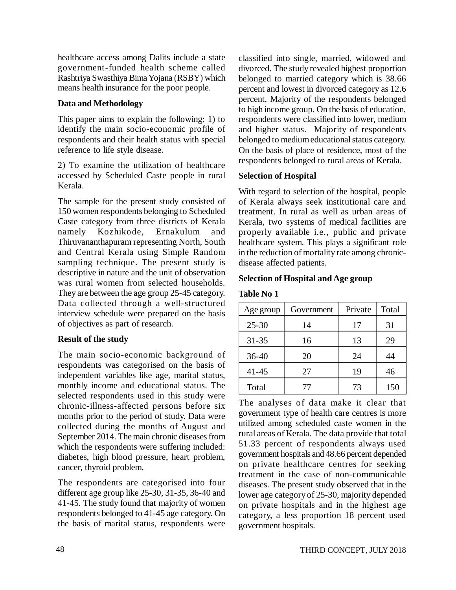healthcare access among Dalits include a state government-funded health scheme called Rashtriya Swasthiya Bima Yojana (RSBY) which means health insurance for the poor people.

### **Data and Methodology**

This paper aims to explain the following: 1) to identify the main socio-economic profile of respondents and their health status with special reference to life style disease.

2) To examine the utilization of healthcare accessed by Scheduled Caste people in rural Kerala.

The sample for the present study consisted of 150 women respondents belonging to Scheduled Caste category from three districts of Kerala namely Kozhikode, Ernakulum and Thiruvananthapuram representing North, South and Central Kerala using Simple Random sampling technique. The present study is descriptive in nature and the unit of observation was rural women from selected households. They are between the age group 25-45 category. Data collected through a well-structured interview schedule were prepared on the basis of objectives as part of research.

#### **Result of the study**

The main socio-economic background of respondents was categorised on the basis of independent variables like age, marital status, monthly income and educational status. The selected respondents used in this study were chronic-illness-affected persons before six months prior to the period of study. Data were collected during the months of August and September 2014. The main chronic diseases from which the respondents were suffering included: diabetes, high blood pressure, heart problem, cancer, thyroid problem.

The respondents are categorised into four different age group like 25-30, 31-35, 36-40 and 41-45. The study found that majority of women respondents belonged to 41-45 age category. On the basis of marital status, respondents were classified into single, married, widowed and divorced. The study revealed highest proportion belonged to married category which is 38.66 percent and lowest in divorced category as 12.6 percent. Majority of the respondents belonged to high income group. On the basis of education, respondents were classified into lower, medium and higher status. Majority of respondents belonged to medium educational status category. On the basis of place of residence, most of the respondents belonged to rural areas of Kerala.

### **Selection of Hospital**

With regard to selection of the hospital, people of Kerala always seek institutional care and treatment. In rural as well as urban areas of Kerala, two systems of medical facilities are properly available i.e., public and private healthcare system. This plays a significant role in the reduction of mortality rate among chronicdisease affected patients.

#### **Selection of Hospital and Age group**

#### **Table No 1**

| Age group | Government | Private | Total |
|-----------|------------|---------|-------|
| $25 - 30$ | 14         | 17      | 31    |
| $31 - 35$ | 16         | 13      | 29    |
| $36 - 40$ | 20         | 24      | 44    |
| $41 - 45$ | 27         | 19      | 46    |
| Total     | 77         | 73      | 150   |

The analyses of data make it clear that government type of health care centres is more utilized among scheduled caste women in the rural areas of Kerala. The data provide that total 51.33 percent of respondents always used government hospitals and 48.66 percent depended on private healthcare centres for seeking treatment in the case of non-communicable diseases. The present study observed that in the lower age category of 25-30, majority depended on private hospitals and in the highest age category, a less proportion 18 percent used government hospitals.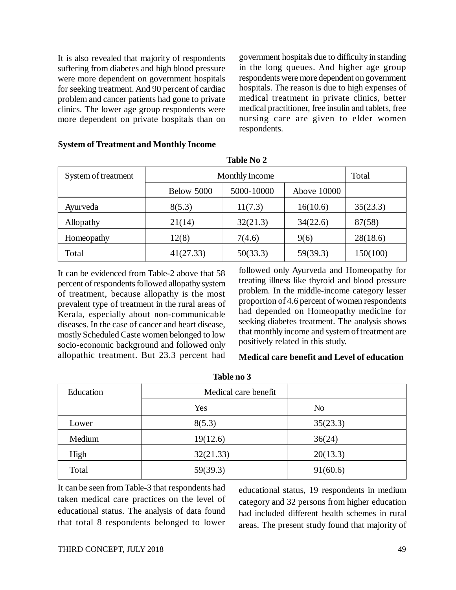It is also revealed that majority of respondents suffering from diabetes and high blood pressure were more dependent on government hospitals for seeking treatment. And 90 percent of cardiac problem and cancer patients had gone to private clinics. The lower age group respondents were more dependent on private hospitals than on

government hospitals due to difficulty in standing in the long queues. And higher age group respondents were more dependent on government hospitals. The reason is due to high expenses of medical treatment in private clinics, better medical practitioner, free insulin and tablets, free nursing care are given to elder women respondents.

| System of treatment | <b>Monthly Income</b>                   |          |          | Total    |  |
|---------------------|-----------------------------------------|----------|----------|----------|--|
|                     | 5000-10000<br>Below 5000<br>Above 10000 |          |          |          |  |
| Ayurveda            | 8(5.3)                                  | 11(7.3)  | 16(10.6) | 35(23.3) |  |
| Allopathy           | 21(14)                                  | 32(21.3) | 34(22.6) | 87(58)   |  |
| Homeopathy          | 12(8)                                   | 7(4.6)   | 9(6)     | 28(18.6) |  |
| Total               | 41(27.33)                               | 50(33.3) | 59(39.3) | 150(100) |  |

**Table No 2**

#### **System of Treatment and Monthly Income**

It can be evidenced from Table-2 above that 58 percent of respondents followed allopathy system of treatment, because allopathy is the most prevalent type of treatment in the rural areas of Kerala, especially about non-communicable diseases. In the case of cancer and heart disease, mostly Scheduled Caste women belonged to low socio-economic background and followed only allopathic treatment. But 23.3 percent had followed only Ayurveda and Homeopathy for treating illness like thyroid and blood pressure problem. In the middle-income category lesser proportion of 4.6 percent of women respondents had depended on Homeopathy medicine for seeking diabetes treatment. The analysis shows that monthly income and system of treatment are positively related in this study.

#### **Medical care benefit and Level of education**

| Education | Medical care benefit |                |
|-----------|----------------------|----------------|
|           | Yes                  | N <sub>o</sub> |
| Lower     | 8(5.3)               | 35(23.3)       |
| Medium    | 19(12.6)             | 36(24)         |
| High      | 32(21.33)            | 20(13.3)       |
| Total     | 59(39.3)             | 91(60.6)       |

**Table no 3**

It can be seen from Table-3 that respondents had taken medical care practices on the level of educational status. The analysis of data found that total 8 respondents belonged to lower

educational status, 19 respondents in medium category and 32 persons from higher education had included different health schemes in rural areas. The present study found that majority of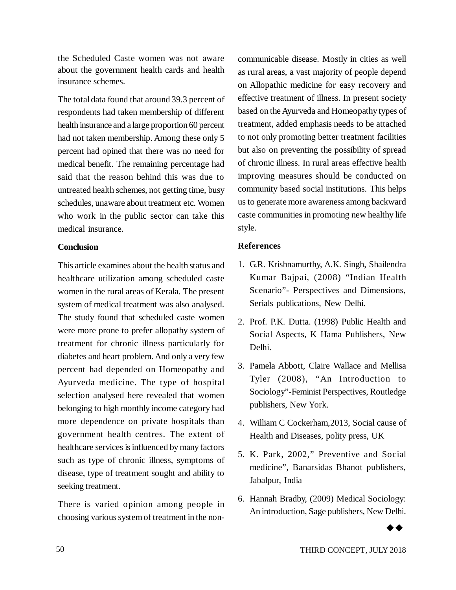the Scheduled Caste women was not aware about the government health cards and health insurance schemes.

The total data found that around 39.3 percent of respondents had taken membership of different health insurance and a large proportion 60 percent had not taken membership. Among these only 5 percent had opined that there was no need for medical benefit. The remaining percentage had said that the reason behind this was due to untreated health schemes, not getting time, busy schedules, unaware about treatment etc. Women who work in the public sector can take this medical insurance.

### **Conclusion**

This article examines about the health status and healthcare utilization among scheduled caste women in the rural areas of Kerala. The present system of medical treatment was also analysed. The study found that scheduled caste women were more prone to prefer allopathy system of treatment for chronic illness particularly for diabetes and heart problem. And only a very few percent had depended on Homeopathy and Ayurveda medicine. The type of hospital selection analysed here revealed that women belonging to high monthly income category had more dependence on private hospitals than government health centres. The extent of healthcare services is influenced by many factors such as type of chronic illness, symptoms of disease, type of treatment sought and ability to seeking treatment.

There is varied opinion among people in choosing various system of treatment in the noncommunicable disease. Mostly in cities as well as rural areas, a vast majority of people depend on Allopathic medicine for easy recovery and effective treatment of illness. In present society based on the Ayurveda and Homeopathy types of treatment, added emphasis needs to be attached to not only promoting better treatment facilities but also on preventing the possibility of spread of chronic illness. In rural areas effective health improving measures should be conducted on community based social institutions. This helps us to generate more awareness among backward caste communities in promoting new healthy life style.

# **References**

- 1. G.R. Krishnamurthy, A.K. Singh, Shailendra Kumar Bajpai, (2008) "Indian Health Scenario"- Perspectives and Dimensions, Serials publications, New Delhi.
- 2. Prof. P.K. Dutta. (1998) Public Health and Social Aspects, K Hama Publishers, New Delhi.
- 3. Pamela Abbott, Claire Wallace and Mellisa Tyler (2008), "An Introduction to Sociology"-Feminist Perspectives, Routledge publishers, New York.
- 4. William C Cockerham,2013, Social cause of Health and Diseases, polity press, UK
- 5. K. Park, 2002," Preventive and Social medicine", Banarsidas Bhanot publishers, Jabalpur, India
- 6. Hannah Bradby, (2009) Medical Sociology: An introduction, Sage publishers, New Delhi.

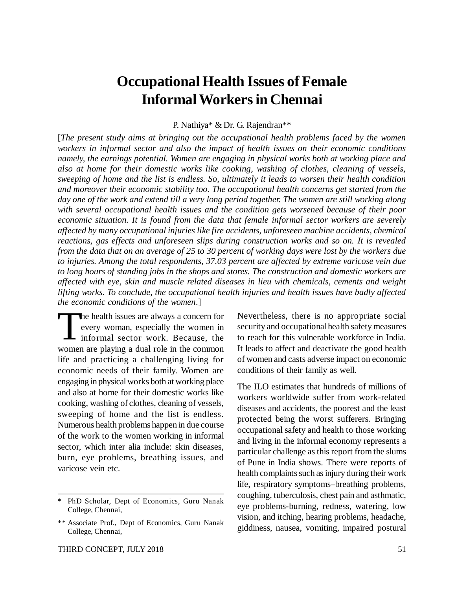# **Occupational Health Issues of Female Informal Workers in Chennai**

P. Nathiya\* & Dr. G. Rajendran\*\*

[*The present study aims at bringing out the occupational health problems faced by the women workers in informal sector and also the impact of health issues on their economic conditions namely, the earnings potential. Women are engaging in physical works both at working place and also at home for their domestic works like cooking, washing of clothes, cleaning of vessels, sweeping of home and the list is endless. So, ultimately it leads to worsen their health condition and moreover their economic stability too. The occupational health concerns get started from the day one of the work and extend till a very long period together. The women are still working along with several occupational health issues and the condition gets worsened because of their poor economic situation. It is found from the data that female informal sector workers are severely affected by many occupational injuries like fire accidents, unforeseen machine accidents, chemical reactions, gas effects and unforeseen slips during construction works and so on. It is revealed from the data that on an average of 25 to 30 percent of working days were lost by the workers due to injuries. Among the total respondents, 37.03 percent are affected by extreme varicose vein due to long hours of standing jobs in the shops and stores. The construction and domestic workers are affected with eye, skin and muscle related diseases in lieu with chemicals, cements and weight lifting works. To conclude, the occupational health injuries and health issues have badly affected the economic conditions of the women*.]

 $\prod_{i=1}^{n}$ he health issues are always a concern for every woman, especially the women in informal sector work. Because, the women are playing a dual role in the common life and practicing a challenging living for economic needs of their family. Women are engaging in physical works both at working place and also at home for their domestic works like cooking, washing of clothes, cleaning of vessels, sweeping of home and the list is endless. Numerous health problems happen in due course of the work to the women working in informal sector, which inter alia include: skin diseases, burn, eye problems, breathing issues, and varicose vein etc.

Nevertheless, there is no appropriate social security and occupational health safety measures to reach for this vulnerable workforce in India. It leads to affect and deactivate the good health of women and casts adverse impact on economic conditions of their family as well.

The ILO estimates that hundreds of millions of workers worldwide suffer from work-related diseases and accidents, the poorest and the least protected being the worst sufferers. Bringing occupational safety and health to those working and living in the informal economy represents a particular challenge as this report from the slums of Pune in India shows. There were reports of health complaints such as injury during their work life, respiratory symptoms–breathing problems, coughing, tuberculosis, chest pain and asthmatic, eye problems-burning, redness, watering, low vision, and itching, hearing problems, headache, giddiness, nausea, vomiting, impaired postural

PhD Scholar, Dept of Economics, Guru Nanak College, Chennai,

<sup>\*\*</sup> Associate Prof., Dept of Economics, Guru Nanak College, Chennai,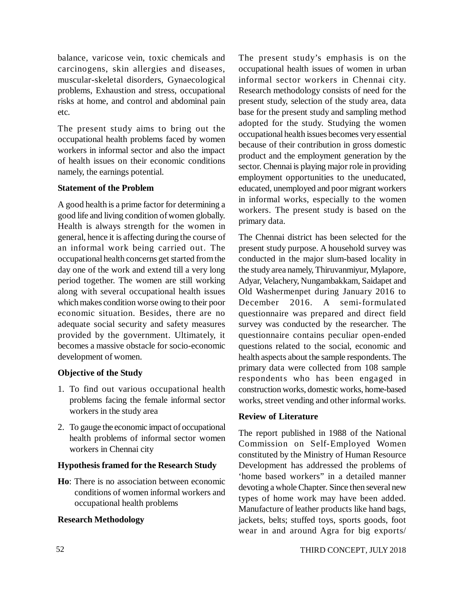balance, varicose vein, toxic chemicals and carcinogens, skin allergies and diseases, muscular-skeletal disorders, Gynaecological problems, Exhaustion and stress, occupational risks at home, and control and abdominal pain etc.

The present study aims to bring out the occupational health problems faced by women workers in informal sector and also the impact of health issues on their economic conditions namely, the earnings potential.

# **Statement of the Problem**

A good health is a prime factor for determining a good life and living condition of women globally. Health is always strength for the women in general, hence it is affecting during the course of an informal work being carried out. The occupational health concerns get started from the day one of the work and extend till a very long period together. The women are still working along with several occupational health issues which makes condition worse owing to their poor economic situation. Besides, there are no adequate social security and safety measures provided by the government. Ultimately, it becomes a massive obstacle for socio-economic development of women.

# **Objective of the Study**

- 1. To find out various occupational health problems facing the female informal sector workers in the study area
- 2. To gauge the economic impact of occupational health problems of informal sector women workers in Chennai city

# **Hypothesis framed for the Research Study**

**Ho**: There is no association between economic conditions of women informal workers and occupational health problems

# **Research Methodology**

The present study's emphasis is on the occupational health issues of women in urban informal sector workers in Chennai city. Research methodology consists of need for the present study, selection of the study area, data base for the present study and sampling method adopted for the study. Studying the women occupational health issues becomes very essential because of their contribution in gross domestic product and the employment generation by the sector. Chennai is playing major role in providing employment opportunities to the uneducated, educated, unemployed and poor migrant workers in informal works, especially to the women workers. The present study is based on the primary data.

The Chennai district has been selected for the present study purpose. A household survey was conducted in the major slum-based locality in the study area namely, Thiruvanmiyur, Mylapore, Adyar, Velachery, Nungambakkam, Saidapet and Old Washermenpet during January 2016 to December 2016. A semi-formulated questionnaire was prepared and direct field survey was conducted by the researcher. The questionnaire contains peculiar open-ended questions related to the social, economic and health aspects about the sample respondents. The primary data were collected from 108 sample respondents who has been engaged in construction works, domestic works, home-based works, street vending and other informal works.

# **Review of Literature**

The report published in 1988 of the National Commission on Self-Employed Women constituted by the Ministry of Human Resource Development has addressed the problems of 'home based workers" in a detailed manner devoting a whole Chapter. Since then several new types of home work may have been added. Manufacture of leather products like hand bags, jackets, belts; stuffed toys, sports goods, foot wear in and around Agra for big exports/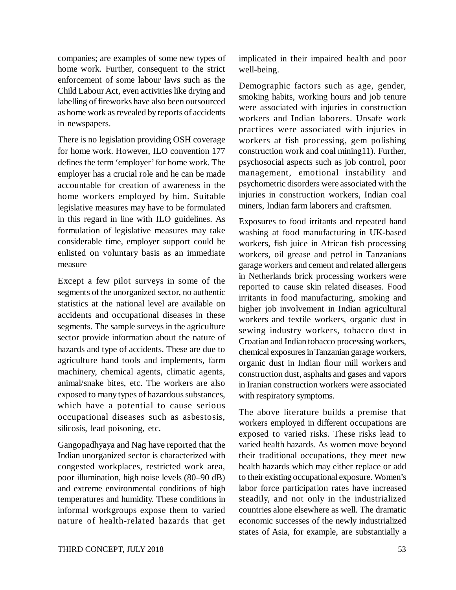companies; are examples of some new types of home work. Further, consequent to the strict enforcement of some labour laws such as the Child Labour Act, even activities like drying and labelling of fireworks have also been outsourced as home work as revealed by reports of accidents in newspapers.

There is no legislation providing OSH coverage for home work. However, ILO convention 177 defines the term 'employer' for home work. The employer has a crucial role and he can be made accountable for creation of awareness in the home workers employed by him. Suitable legislative measures may have to be formulated in this regard in line with ILO guidelines. As formulation of legislative measures may take considerable time, employer support could be enlisted on voluntary basis as an immediate measure

Except a few pilot surveys in some of the segments of the unorganized sector, no authentic statistics at the national level are available on accidents and occupational diseases in these segments. The sample surveys in the agriculture sector provide information about the nature of hazards and type of accidents. These are due to agriculture hand tools and implements, farm machinery, chemical agents, climatic agents, animal/snake bites, etc. The workers are also exposed to many types of hazardous substances, which have a potential to cause serious occupational diseases such as asbestosis, silicosis, lead poisoning, etc.

Gangopadhyaya and Nag have reported that the Indian unorganized sector is characterized with congested workplaces, restricted work area, poor illumination, high noise levels (80–90 dB) and extreme environmental conditions of high temperatures and humidity. These conditions in informal workgroups expose them to varied nature of health-related hazards that get

implicated in their impaired health and poor well-being.

Demographic factors such as age, gender, smoking habits, working hours and job tenure were associated with injuries in construction workers and Indian laborers. Unsafe work practices were associated with injuries in workers at fish processing, gem polishing construction work and coal mining11). Further, psychosocial aspects such as job control, poor management, emotional instability and psychometric disorders were associated with the injuries in construction workers, Indian coal miners, Indian farm laborers and craftsmen.

Exposures to food irritants and repeated hand washing at food manufacturing in UK-based workers, fish juice in African fish processing workers, oil grease and petrol in Tanzanians garage workers and cement and related allergens in Netherlands brick processing workers were reported to cause skin related diseases. Food irritants in food manufacturing, smoking and higher job involvement in Indian agricultural workers and textile workers, organic dust in sewing industry workers, tobacco dust in Croatian and Indian tobacco processing workers, chemical exposures in Tanzanian garage workers, organic dust in Indian flour mill workers and construction dust, asphalts and gases and vapors in Iranian construction workers were associated with respiratory symptoms.

The above literature builds a premise that workers employed in different occupations are exposed to varied risks. These risks lead to varied health hazards. As women move beyond their traditional occupations, they meet new health hazards which may either replace or add to their existing occupational exposure. Women's labor force participation rates have increased steadily, and not only in the industrialized countries alone elsewhere as well. The dramatic economic successes of the newly industrialized states of Asia, for example, are substantially a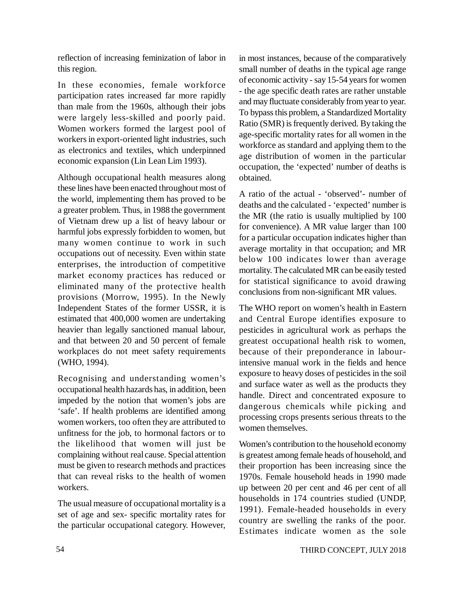reflection of increasing feminization of labor in this region.

In these economies, female workforce participation rates increased far more rapidly than male from the 1960s, although their jobs were largely less-skilled and poorly paid. Women workers formed the largest pool of workers in export-oriented light industries, such as electronics and textiles, which underpinned economic expansion (Lin Lean Lim 1993).

Although occupational health measures along these lines have been enacted throughout most of the world, implementing them has proved to be a greater problem. Thus, in 1988 the government of Vietnam drew up a list of heavy labour or harmful jobs expressly forbidden to women, but many women continue to work in such occupations out of necessity. Even within state enterprises, the introduction of competitive market economy practices has reduced or eliminated many of the protective health provisions (Morrow, 1995). In the Newly Independent States of the former USSR, it is estimated that 400,000 women are undertaking heavier than legally sanctioned manual labour, and that between 20 and 50 percent of female workplaces do not meet safety requirements (WHO, 1994).

Recognising and understanding women's occupational health hazards has, in addition, been impeded by the notion that women's jobs are 'safe'. If health problems are identified among women workers, too often they are attributed to unfitness for the job, to hormonal factors or to the likelihood that women will just be complaining without real cause. Special attention must be given to research methods and practices that can reveal risks to the health of women workers.

The usual measure of occupational mortality is a set of age and sex- specific mortality rates for the particular occupational category. However,

in most instances, because of the comparatively small number of deaths in the typical age range of economic activity - say 15-54 years for women - the age specific death rates are rather unstable and may fluctuate considerably from year to year. To bypass this problem, a Standardized Mortality Ratio (SMR) is frequently derived. By taking the age-specific mortality rates for all women in the workforce as standard and applying them to the age distribution of women in the particular occupation, the 'expected' number of deaths is obtained.

A ratio of the actual - 'observed'- number of deaths and the calculated - 'expected' number is the MR (the ratio is usually multiplied by 100 for convenience). A MR value larger than 100 for a particular occupation indicates higher than average mortality in that occupation; and MR below 100 indicates lower than average mortality. The calculated MR can be easily tested for statistical significance to avoid drawing conclusions from non-significant MR values.

The WHO report on women's health in Eastern and Central Europe identifies exposure to pesticides in agricultural work as perhaps the greatest occupational health risk to women, because of their preponderance in labourintensive manual work in the fields and hence exposure to heavy doses of pesticides in the soil and surface water as well as the products they handle. Direct and concentrated exposure to dangerous chemicals while picking and processing crops presents serious threats to the women themselves.

Women's contribution to the household economy is greatest among female heads of household, and their proportion has been increasing since the 1970s. Female household heads in 1990 made up between 20 per cent and 46 per cent of all households in 174 countries studied (UNDP, 1991). Female-headed households in every country are swelling the ranks of the poor. Estimates indicate women as the sole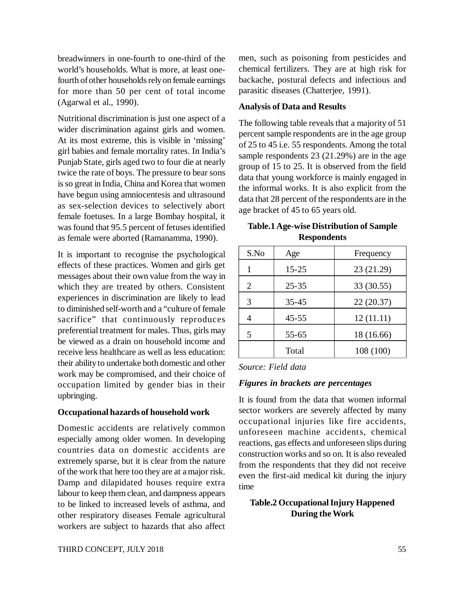breadwinners in one-fourth to one-third of the world's households. What is more, at least onefourth of other households rely on female earnings for more than 50 per cent of total income (Agarwal et al., 1990).

Nutritional discrimination is just one aspect of a wider discrimination against girls and women. At its most extreme, this is visible in 'missing' girl babies and female mortality rates. In India's Punjab State, girls aged two to four die at nearly twice the rate of boys. The pressure to bear sons is so great in India, China and Korea that women have begun using amniocentesis and ultrasound as sex-selection devices to selectively abort female foetuses. In a large Bombay hospital, it was found that 95.5 percent of fetuses identified as female were aborted (Ramanamma, 1990).

It is important to recognise the psychological effects of these practices. Women and girls get messages about their own value from the way in which they are treated by others. Consistent experiences in discrimination are likely to lead to diminished self-worth and a "culture of female sacrifice" that continuously reproduces preferential treatment for males. Thus, girls may be viewed as a drain on household income and receive less healthcare as well as less education: their ability to undertake both domestic and other work may be compromised, and their choice of occupation limited by gender bias in their upbringing.

#### **Occupational hazards of household work**

Domestic accidents are relatively common especially among older women. In developing countries data on domestic accidents are extremely sparse, but it is clear from the nature of the work that here too they are at a major risk. Damp and dilapidated houses require extra labour to keep them clean, and dampness appears to be linked to increased levels of asthma, and other respiratory diseases Female agricultural workers are subject to hazards that also affect

men, such as poisoning from pesticides and chemical fertilizers. They are at high risk for backache, postural defects and infectious and parasitic diseases (Chatterjee, 1991).

### **Analysis of Data and Results**

The following table reveals that a majority of 51 percent sample respondents are in the age group of 25 to 45 i.e. 55 respondents. Among the total sample respondents 23 (21.29%) are in the age group of 15 to 25. It is observed from the field data that young workforce is mainly engaged in the informal works. It is also explicit from the data that 28 percent of the respondents are in the age bracket of 45 to 65 years old.

| <b>Table.1 Age-wise Distribution of Sample</b> |  |  |  |
|------------------------------------------------|--|--|--|
| <b>Respondents</b>                             |  |  |  |

| S.No | Age       | Frequency  |
|------|-----------|------------|
|      | $15 - 25$ | 23 (21.29) |
| 2    | $25 - 35$ | 33 (30.55) |
| 3    | $35 - 45$ | 22(20.37)  |
|      | $45 - 55$ | 12(11.11)  |
| 5    | $55 - 65$ | 18 (16.66) |
|      | Total     | 108 (100)  |

*Source: Field data*

#### *Figures in brackets are percentages*

It is found from the data that women informal sector workers are severely affected by many occupational injuries like fire accidents, unforeseen machine accidents, chemical reactions, gas effects and unforeseen slips during construction works and so on. It is also revealed from the respondents that they did not receive even the first-aid medical kit during the injury time

# **Table.2 Occupational Injury Happened During the Work**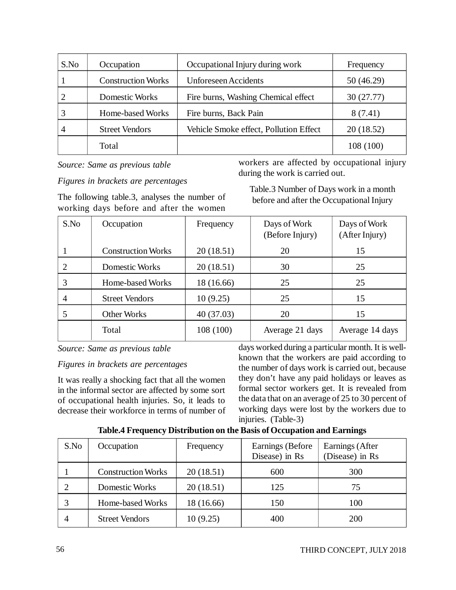| S.No | Occupation                | Occupational Injury during work        | Frequency |
|------|---------------------------|----------------------------------------|-----------|
|      | <b>Construction Works</b> | <b>Unforeseen</b> Accidents            | 50(46.29) |
|      | Domestic Works            | Fire burns, Washing Chemical effect    | 30(27.77) |
|      | Home-based Works          | Fire burns, Back Pain                  | 8(7.41)   |
|      | <b>Street Vendors</b>     | Vehicle Smoke effect, Pollution Effect | 20(18.52) |
|      | Total                     |                                        | 108 (100) |

*Source: Same as previous table*

workers are affected by occupational injury during the work is carried out.

*Figures in brackets are percentages*

The following table.3, analyses the number of working days before and after the women

Table.3 Number of Days work in a month before and after the Occupational Injury

| S.No           | Occupation                | Frequency  | Days of Work<br>(Before Injury) | Days of Work<br>(After Injury) |
|----------------|---------------------------|------------|---------------------------------|--------------------------------|
|                | <b>Construction Works</b> | 20(18.51)  | 20                              | 15                             |
|                | Domestic Works            | 20(18.51)  | 30                              | 25                             |
| 3              | Home-based Works          | 18 (16.66) | 25                              | 25                             |
| $\overline{4}$ | <b>Street Vendors</b>     | 10(9.25)   | 25                              | 15                             |
|                | <b>Other Works</b>        | 40(37.03)  | 20                              | 15                             |
|                | Total                     | 108(100)   | Average 21 days                 | Average 14 days                |

*Source: Same as previous table*

# *Figures in brackets are percentages*

It was really a shocking fact that all the women in the informal sector are affected by some sort of occupational health injuries. So, it leads to decrease their workforce in terms of number of

days worked during a particular month. It is wellknown that the workers are paid according to the number of days work is carried out, because they don't have any paid holidays or leaves as formal sector workers get. It is revealed from the data that on an average of 25 to 30 percent of working days were lost by the workers due to injuries. (Table-3)

| S.No | Occupation                | Frequency  | Earnings (Before)<br>Disease) in Rs | Earnings (After<br>(Disease) in Rs |
|------|---------------------------|------------|-------------------------------------|------------------------------------|
|      | <b>Construction Works</b> | 20(18.51)  | 600                                 | 300                                |
|      | Domestic Works            | 20(18.51)  | 125                                 | 75                                 |
|      | Home-based Works          | 18 (16.66) | 150                                 | 100                                |
|      | <b>Street Vendors</b>     | 10(9.25)   | 400                                 | 200                                |

# **Table.4 Frequency Distribution on the Basis of Occupation and Earnings**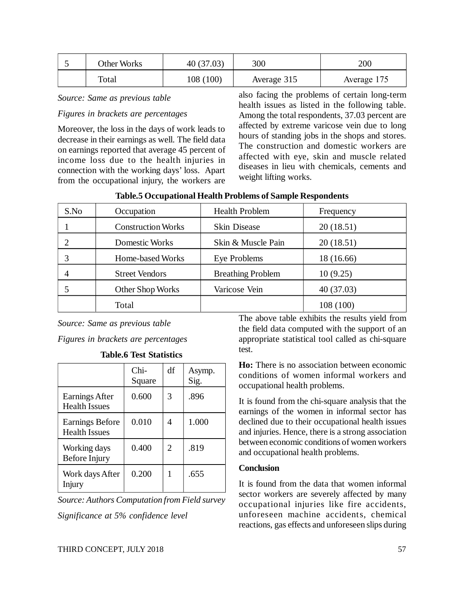| Other Works | 40(37.03) | 300         | 200         |
|-------------|-----------|-------------|-------------|
| Total       | 108 (100) | Average 315 | Average 175 |

*Source: Same as previous table*

#### *Figures in brackets are percentages*

Moreover, the loss in the days of work leads to decrease in their earnings as well. The field data on earnings reported that average 45 percent of income loss due to the health injuries in connection with the working days' loss. Apart from the occupational injury, the workers are also facing the problems of certain long-term health issues as listed in the following table. Among the total respondents, 37.03 percent are affected by extreme varicose vein due to long hours of standing jobs in the shops and stores. The construction and domestic workers are affected with eye, skin and muscle related diseases in lieu with chemicals, cements and weight lifting works.

| S.No | Occupation                | <b>Health Problem</b>    | Frequency  |
|------|---------------------------|--------------------------|------------|
|      | <b>Construction Works</b> | <b>Skin Disease</b>      | 20(18.51)  |
|      | Domestic Works            | Skin & Muscle Pain       | 20(18.51)  |
|      | Home-based Works          | Eye Problems             | 18 (16.66) |
| 4    | <b>Street Vendors</b>     | <b>Breathing Problem</b> | 10(9.25)   |
|      | Other Shop Works          | Varicose Vein            | 40 (37.03) |
|      | Total                     |                          | 108 (100)  |

|  | <b>Table.5 Occupational Health Problems of Sample Respondents</b> |  |
|--|-------------------------------------------------------------------|--|
|  |                                                                   |  |

*Source: Same as previous table*

*Figures in brackets are percentages*

**Table.6 Test Statistics**

|                                                | Chi-<br>Square | df             | Asymp.<br>Sig. |
|------------------------------------------------|----------------|----------------|----------------|
| Earnings After<br><b>Health Issues</b>         | 0.600          | 3              | .896           |
| <b>Earnings Before</b><br><b>Health Issues</b> | 0.010          | 4              | 1.000          |
| Working days<br>Before Injury                  | 0.400          | $\overline{2}$ | .819           |
| Work days After<br>Injury                      | 0.200          | 1              | .655           |

*Source: Authors Computation from Field survey Significance at 5% confidence level*

The above table exhibits the results yield from the field data computed with the support of an appropriate statistical tool called as chi-square test.

**Ho:** There is no association between economic conditions of women informal workers and occupational health problems.

It is found from the chi-square analysis that the earnings of the women in informal sector has declined due to their occupational health issues and injuries. Hence, there is a strong association between economic conditions of women workers and occupational health problems.

#### **Conclusion**

It is found from the data that women informal sector workers are severely affected by many occupational injuries like fire accidents, unforeseen machine accidents, chemical reactions, gas effects and unforeseen slips during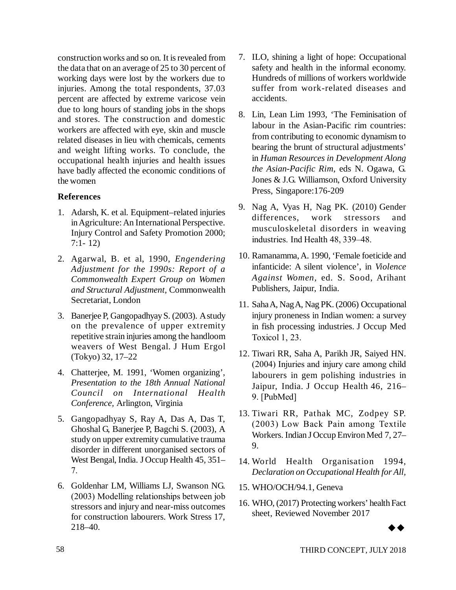construction works and so on. It is revealed from the data that on an average of 25 to 30 percent of working days were lost by the workers due to injuries. Among the total respondents, 37.03 percent are affected by extreme varicose vein due to long hours of standing jobs in the shops and stores. The construction and domestic workers are affected with eye, skin and muscle related diseases in lieu with chemicals, cements and weight lifting works. To conclude, the occupational health injuries and health issues have badly affected the economic conditions of the women

# **References**

- 1. Adarsh, K. et al. Equipment–related injuries in Agriculture: An International Perspective. Injury Control and Safety Promotion 2000; 7:1- 12)
- 2. Agarwal, B. et al, 1990, *Engendering Adjustment for the 1990s: Report of a Commonwealth Expert Group on Women and Structural Adjustment*, Commonwealth Secretariat, London
- 3. Banerjee P, Gangopadhyay S. (2003). A study on the prevalence of upper extremity repetitive strain injuries among the handloom weavers of West Bengal. J Hum Ergol (Tokyo) 32, 17–22
- 4. Chatterjee, M. 1991, 'Women organizing', *Presentation to the 18th Annual National Council on International Health Conference,* Arlington, Virginia
- 5. Gangopadhyay S, Ray A, Das A, Das T, Ghoshal G, Banerjee P, Bagchi S. (2003), A study on upper extremity cumulative trauma disorder in different unorganised sectors of West Bengal, India. J Occup Health 45, 351– 7.
- 6. Goldenhar LM, Williams LJ, Swanson NG. (2003) Modelling relationships between job stressors and injury and near-miss outcomes for construction labourers. Work Stress 17, 218–40.
- 7. ILO, shining a light of hope: Occupational safety and health in the informal economy. Hundreds of millions of workers worldwide suffer from work-related diseases and accidents.
- 8. Lin, Lean Lim 1993, 'The Feminisation of labour in the Asian-Pacific rim countries: from contributing to economic dynamism to bearing the brunt of structural adjustments' in *Human Resources in Development Along the Asian-Pacific Rim,* eds N. Ogawa, G. Jones & J.G. Williamson, Oxford University Press, Singapore:176-209
- 9. Nag A, Vyas H, Nag PK. (2010) Gender differences, work stressors and musculoskeletal disorders in weaving industries. Ind Health 48, 339–48.
- 10. Ramanamma, A. 1990, 'Female foeticide and infanticide: A silent violence', in *Violence Against Women,* ed. S. Sood, Arihant Publishers, Jaipur, India.
- 11. Saha A, Nag A, Nag PK. (2006) Occupational injury proneness in Indian women: a survey in fish processing industries. J Occup Med Toxicol 1, 23.
- 12. Tiwari RR, Saha A, Parikh JR, Saiyed HN. (2004) Injuries and injury care among child labourers in gem polishing industries in Jaipur, India. J Occup Health 46, 216– 9. [PubMed]
- 13. Tiwari RR, Pathak MC, Zodpey SP. (2003) Low Back Pain among Textile Workers. Indian J Occup Environ Med 7, 27– 9.
- 14. World Health Organisation 1994, *Declaration on Occupational Health for All,*
- 15. WHO/OCH/94.1, Geneva
- 16. WHO, (2017) Protecting workers' health Fact sheet, Reviewed November 2017